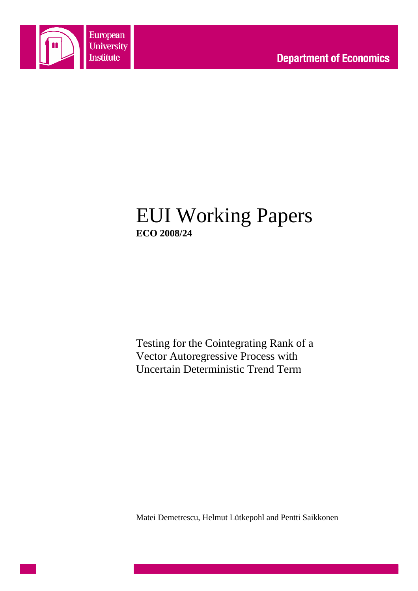

# EUI Working Papers **ECO 2008/24**

Testing for the Cointegrating Rank of a Vector Autoregressive Process with Uncertain Deterministic Trend Term

Matei Demetrescu, Helmut Lütkepohl and Pentti Saikkonen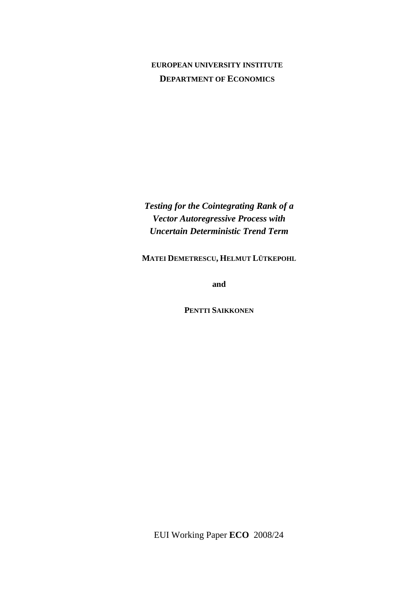### **EUROPEAN UNIVERSITY INSTITUTE DEPARTMENT OF ECONOMICS**

*Testing for the Cointegrating Rank of a Vector Autoregressive Process with Uncertain Deterministic Trend Term* 

**MATEI DEMETRESCU, HELMUT LÜTKEPOHL**

**and** 

**PENTTI SAIKKONEN**

EUI Working Paper **ECO** 2008/24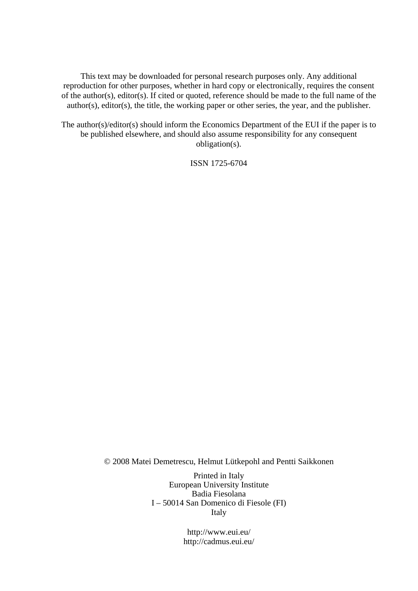This text may be downloaded for personal research purposes only. Any additional reproduction for other purposes, whether in hard copy or electronically, requires the consent of the author(s), editor(s). If cited or quoted, reference should be made to the full name of the author(s), editor(s), the title, the working paper or other series, the year, and the publisher.

The author(s)/editor(s) should inform the Economics Department of the EUI if the paper is to be published elsewhere, and should also assume responsibility for any consequent obligation(s).

ISSN 1725-6704

© 2008 Matei Demetrescu, Helmut Lütkepohl and Pentti Saikkonen

Printed in Italy European University Institute Badia Fiesolana I – 50014 San Domenico di Fiesole (FI) Italy

> http://www.eui.eu/ http://cadmus.eui.eu/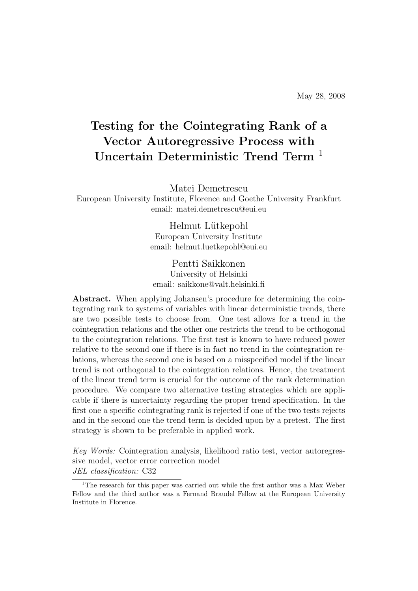# Testing for the Cointegrating Rank of a Vector Autoregressive Process with Uncertain Deterministic Trend Term<sup>1</sup>

Matei Demetrescu

European University Institute, Florence and Goethe University Frankfurt email: matei.demetrescu@eui.eu

> Helmut Lütkepohl European University Institute email: helmut.luetkepohl@eui.eu

#### Pentti Saikkonen University of Helsinki email: saikkone@valt.helsinki.fi

Abstract. When applying Johansen's procedure for determining the cointegrating rank to systems of variables with linear deterministic trends, there are two possible tests to choose from. One test allows for a trend in the cointegration relations and the other one restricts the trend to be orthogonal to the cointegration relations. The first test is known to have reduced power relative to the second one if there is in fact no trend in the cointegration relations, whereas the second one is based on a misspecified model if the linear trend is not orthogonal to the cointegration relations. Hence, the treatment of the linear trend term is crucial for the outcome of the rank determination procedure. We compare two alternative testing strategies which are applicable if there is uncertainty regarding the proper trend specification. In the first one a specific cointegrating rank is rejected if one of the two tests rejects and in the second one the trend term is decided upon by a pretest. The first strategy is shown to be preferable in applied work.

Key Words: Cointegration analysis, likelihood ratio test, vector autoregressive model, vector error correction model JEL classification: C32

<sup>1</sup>The research for this paper was carried out while the first author was a Max Weber Fellow and the third author was a Fernand Braudel Fellow at the European University Institute in Florence.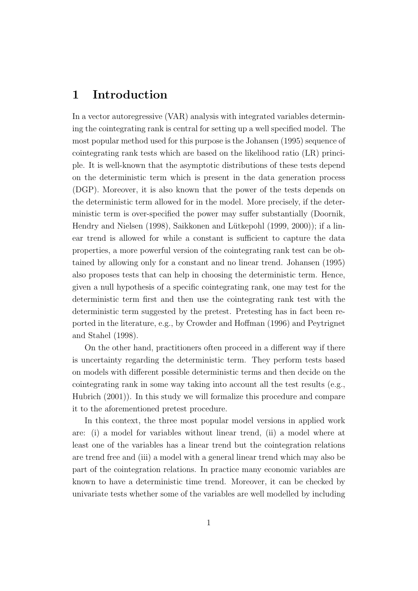### 1 Introduction

In a vector autoregressive (VAR) analysis with integrated variables determining the cointegrating rank is central for setting up a well specified model. The most popular method used for this purpose is the Johansen (1995) sequence of cointegrating rank tests which are based on the likelihood ratio (LR) principle. It is well-known that the asymptotic distributions of these tests depend on the deterministic term which is present in the data generation process (DGP). Moreover, it is also known that the power of the tests depends on the deterministic term allowed for in the model. More precisely, if the deterministic term is over-specified the power may suffer substantially (Doornik, Hendry and Nielsen (1998), Saikkonen and Lütkepohl (1999, 2000)); if a linear trend is allowed for while a constant is sufficient to capture the data properties, a more powerful version of the cointegrating rank test can be obtained by allowing only for a constant and no linear trend. Johansen (1995) also proposes tests that can help in choosing the deterministic term. Hence, given a null hypothesis of a specific cointegrating rank, one may test for the deterministic term first and then use the cointegrating rank test with the deterministic term suggested by the pretest. Pretesting has in fact been reported in the literature, e.g., by Crowder and Hoffman (1996) and Peytrignet and Stahel (1998).

On the other hand, practitioners often proceed in a different way if there is uncertainty regarding the deterministic term. They perform tests based on models with different possible deterministic terms and then decide on the cointegrating rank in some way taking into account all the test results (e.g., Hubrich (2001)). In this study we will formalize this procedure and compare it to the aforementioned pretest procedure.

In this context, the three most popular model versions in applied work are: (i) a model for variables without linear trend, (ii) a model where at least one of the variables has a linear trend but the cointegration relations are trend free and (iii) a model with a general linear trend which may also be part of the cointegration relations. In practice many economic variables are known to have a deterministic time trend. Moreover, it can be checked by univariate tests whether some of the variables are well modelled by including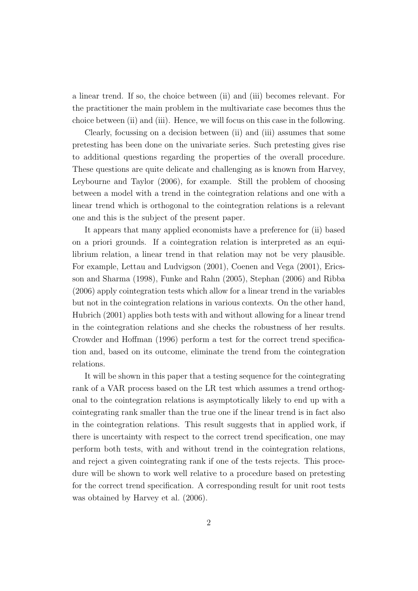a linear trend. If so, the choice between (ii) and (iii) becomes relevant. For the practitioner the main problem in the multivariate case becomes thus the choice between (ii) and (iii). Hence, we will focus on this case in the following.

Clearly, focussing on a decision between (ii) and (iii) assumes that some pretesting has been done on the univariate series. Such pretesting gives rise to additional questions regarding the properties of the overall procedure. These questions are quite delicate and challenging as is known from Harvey, Leybourne and Taylor (2006), for example. Still the problem of choosing between a model with a trend in the cointegration relations and one with a linear trend which is orthogonal to the cointegration relations is a relevant one and this is the subject of the present paper.

It appears that many applied economists have a preference for (ii) based on a priori grounds. If a cointegration relation is interpreted as an equilibrium relation, a linear trend in that relation may not be very plausible. For example, Lettau and Ludvigson (2001), Coenen and Vega (2001), Ericsson and Sharma (1998), Funke and Rahn (2005), Stephan (2006) and Ribba (2006) apply cointegration tests which allow for a linear trend in the variables but not in the cointegration relations in various contexts. On the other hand, Hubrich (2001) applies both tests with and without allowing for a linear trend in the cointegration relations and she checks the robustness of her results. Crowder and Hoffman (1996) perform a test for the correct trend specification and, based on its outcome, eliminate the trend from the cointegration relations.

It will be shown in this paper that a testing sequence for the cointegrating rank of a VAR process based on the LR test which assumes a trend orthogonal to the cointegration relations is asymptotically likely to end up with a cointegrating rank smaller than the true one if the linear trend is in fact also in the cointegration relations. This result suggests that in applied work, if there is uncertainty with respect to the correct trend specification, one may perform both tests, with and without trend in the cointegration relations, and reject a given cointegrating rank if one of the tests rejects. This procedure will be shown to work well relative to a procedure based on pretesting for the correct trend specification. A corresponding result for unit root tests was obtained by Harvey et al. (2006).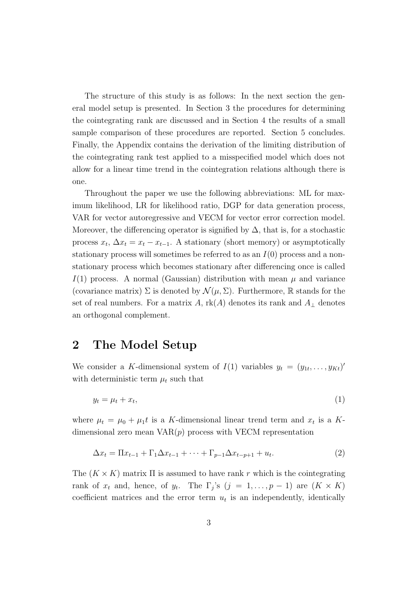The structure of this study is as follows: In the next section the general model setup is presented. In Section 3 the procedures for determining the cointegrating rank are discussed and in Section 4 the results of a small sample comparison of these procedures are reported. Section 5 concludes. Finally, the Appendix contains the derivation of the limiting distribution of the cointegrating rank test applied to a misspecified model which does not allow for a linear time trend in the cointegration relations although there is one.

Throughout the paper we use the following abbreviations: ML for maximum likelihood, LR for likelihood ratio, DGP for data generation process, VAR for vector autoregressive and VECM for vector error correction model. Moreover, the differencing operator is signified by  $\Delta$ , that is, for a stochastic process  $x_t$ ,  $\Delta x_t = x_t - x_{t-1}$ . A stationary (short memory) or asymptotically stationary process will sometimes be referred to as an  $I(0)$  process and a nonstationary process which becomes stationary after differencing once is called  $I(1)$  process. A normal (Gaussian) distribution with mean  $\mu$  and variance (covariance matrix)  $\Sigma$  is denoted by  $\mathcal{N}(\mu, \Sigma)$ . Furthermore, R stands for the set of real numbers. For a matrix A,  $rk(A)$  denotes its rank and  $A_{\perp}$  denotes an orthogonal complement.

### 2 The Model Setup

We consider a K-dimensional system of  $I(1)$  variables  $y_t = (y_{1t}, \ldots, y_{Kt})'$ with deterministic term  $\mu_t$  such that

$$
y_t = \mu_t + x_t,\tag{1}
$$

where  $\mu_t = \mu_0 + \mu_1 t$  is a K-dimensional linear trend term and  $x_t$  is a Kdimensional zero mean  $VAR(p)$  process with VECM representation

$$
\Delta x_t = \Pi x_{t-1} + \Gamma_1 \Delta x_{t-1} + \dots + \Gamma_{p-1} \Delta x_{t-p+1} + u_t. \tag{2}
$$

The  $(K \times K)$  matrix  $\Pi$  is assumed to have rank r which is the cointegrating rank of  $x_t$  and, hence, of  $y_t$ . The  $\Gamma_j$ 's  $(j = 1, \ldots, p-1)$  are  $(K \times K)$ coefficient matrices and the error term  $u_t$  is an independently, identically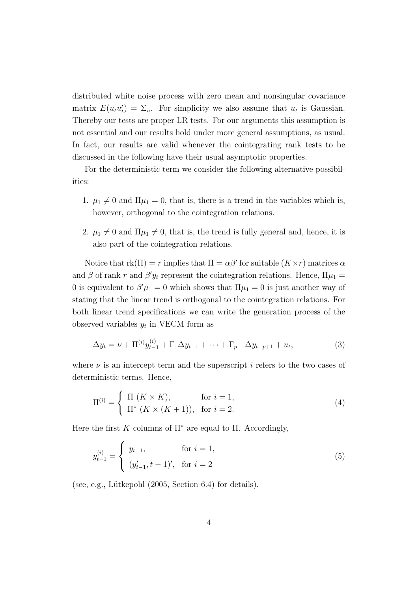distributed white noise process with zero mean and nonsingular covariance matrix  $E(u_t u'_t) = \Sigma_u$ . For simplicity we also assume that  $u_t$  is Gaussian. Thereby our tests are proper LR tests. For our arguments this assumption is not essential and our results hold under more general assumptions, as usual. In fact, our results are valid whenever the cointegrating rank tests to be discussed in the following have their usual asymptotic properties.

For the deterministic term we consider the following alternative possibilities:

- 1.  $\mu_1 \neq 0$  and  $\Pi \mu_1 = 0$ , that is, there is a trend in the variables which is, however, orthogonal to the cointegration relations.
- 2.  $\mu_1 \neq 0$  and  $\Pi \mu_1 \neq 0$ , that is, the trend is fully general and, hence, it is also part of the cointegration relations.

Notice that  $rk(\Pi) = r$  implies that  $\Pi = \alpha\beta'$  for suitable  $(K \times r)$  matrices  $\alpha$ and  $\beta$  of rank r and  $\beta' y_t$  represent the cointegration relations. Hence,  $\Pi \mu_1 =$ 0 is equivalent to  $\beta'\mu_1 = 0$  which shows that  $\Pi\mu_1 = 0$  is just another way of stating that the linear trend is orthogonal to the cointegration relations. For both linear trend specifications we can write the generation process of the observed variables  $y_t$  in VECM form as

$$
\Delta y_t = \nu + \Pi^{(i)} y_{t-1}^{(i)} + \Gamma_1 \Delta y_{t-1} + \dots + \Gamma_{p-1} \Delta y_{t-p+1} + u_t,
$$
\n(3)

where  $\nu$  is an intercept term and the superscript i refers to the two cases of deterministic terms. Hence,

$$
\Pi^{(i)} = \begin{cases} \Pi(K \times K), & \text{for } i = 1, \\ \Pi^* \left( K \times (K+1) \right), & \text{for } i = 2. \end{cases} \tag{4}
$$

Here the first K columns of  $\Pi^*$  are equal to  $\Pi$ . Accordingly,

$$
y_{t-1}^{(i)} = \begin{cases} y_{t-1}, & \text{for } i = 1, \\ (y_{t-1}', t-1)', & \text{for } i = 2 \end{cases}
$$
 (5)

(see, e.g., Lütkepohl  $(2005, Section 6.4)$  for details).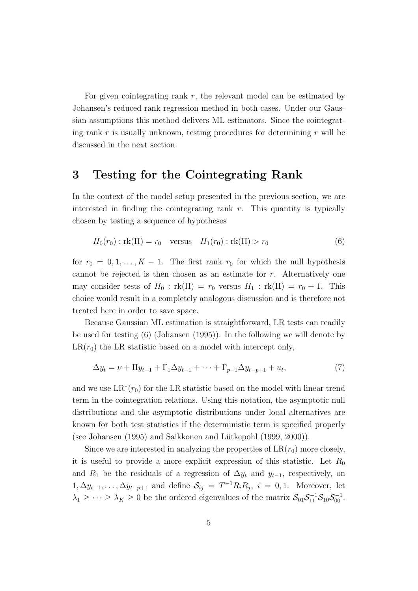For given cointegrating rank  $r$ , the relevant model can be estimated by Johansen's reduced rank regression method in both cases. Under our Gaussian assumptions this method delivers ML estimators. Since the cointegrating rank  $r$  is usually unknown, testing procedures for determining  $r$  will be discussed in the next section.

### 3 Testing for the Cointegrating Rank

In the context of the model setup presented in the previous section, we are interested in finding the cointegrating rank  $r$ . This quantity is typically chosen by testing a sequence of hypotheses

$$
H_0(r_0) : \text{rk}(\Pi) = r_0 \quad \text{versus} \quad H_1(r_0) : \text{rk}(\Pi) > r_0 \tag{6}
$$

for  $r_0 = 0, 1, \ldots, K - 1$ . The first rank  $r_0$  for which the null hypothesis cannot be rejected is then chosen as an estimate for  $r$ . Alternatively one may consider tests of  $H_0$ :  $rk(\Pi) = r_0$  versus  $H_1$ :  $rk(\Pi) = r_0 + 1$ . This choice would result in a completely analogous discussion and is therefore not treated here in order to save space.

Because Gaussian ML estimation is straightforward, LR tests can readily be used for testing (6) (Johansen (1995)). In the following we will denote by  $LR(r_0)$  the LR statistic based on a model with intercept only,

$$
\Delta y_t = \nu + \Pi y_{t-1} + \Gamma_1 \Delta y_{t-1} + \dots + \Gamma_{p-1} \Delta y_{t-p+1} + u_t, \tag{7}
$$

and we use  $LR^*(r_0)$  for the LR statistic based on the model with linear trend term in the cointegration relations. Using this notation, the asymptotic null distributions and the asymptotic distributions under local alternatives are known for both test statistics if the deterministic term is specified properly (see Johansen  $(1995)$  and Saikkonen and Lütkepohl  $(1999, 2000)$ ).

Since we are interested in analyzing the properties of  $LR(r_0)$  more closely, it is useful to provide a more explicit expression of this statistic. Let  $R_0$ and  $R_1$  be the residuals of a regression of  $\Delta y_t$  and  $y_{t-1}$ , respectively, on  $1, \Delta y_{t-1}, \ldots, \Delta y_{t-p+1}$  and define  $S_{ij} = T^{-1}R_iR_j$ ,  $i = 0, 1$ . Moreover, let  $\lambda_1 \geq \cdots \geq \lambda_K \geq 0$  be the ordered eigenvalues of the matrix  $S_{01}S_{11}^{-1}S_{10}S_{00}^{-1}$ .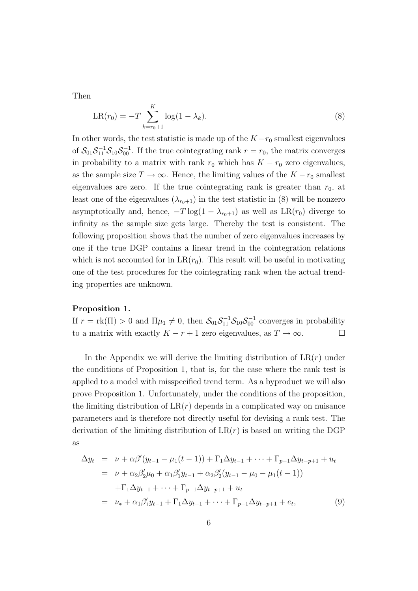Then

$$
LR(r_0) = -T \sum_{k=r_0+1}^{K} \log(1 - \lambda_k).
$$
 (8)

In other words, the test statistic is made up of the  $K - r_0$  smallest eigenvalues of  $S_{01}S_{11}^{-1}S_{10}S_{00}^{-1}$ . If the true cointegrating rank  $r = r_0$ , the matrix converges in probability to a matrix with rank  $r_0$  which has  $K - r_0$  zero eigenvalues, as the sample size  $T \to \infty$ . Hence, the limiting values of the  $K - r_0$  smallest eigenvalues are zero. If the true cointegrating rank is greater than  $r_0$ , at least one of the eigenvalues  $(\lambda_{r_0+1})$  in the test statistic in (8) will be nonzero asymptotically and, hence,  $-T \log(1 - \lambda_{r_0+1})$  as well as  $LR(r_0)$  diverge to infinity as the sample size gets large. Thereby the test is consistent. The following proposition shows that the number of zero eigenvalues increases by one if the true DGP contains a linear trend in the cointegration relations which is not accounted for in  $LR(r_0)$ . This result will be useful in motivating one of the test procedures for the cointegrating rank when the actual trending properties are unknown.

#### Proposition 1.

If  $r = \text{rk}(\Pi) > 0$  and  $\Pi\mu_1 \neq 0$ , then  $S_{01}S_{11}^{-1}S_{10}S_{00}^{-1}$  converges in probability to a matrix with exactly  $K - r + 1$  zero eigenvalues, as  $T \to \infty$ .  $\Box$ 

In the Appendix we will derive the limiting distribution of  $LR(r)$  under the conditions of Proposition 1, that is, for the case where the rank test is applied to a model with misspecified trend term. As a byproduct we will also prove Proposition 1. Unfortunately, under the conditions of the proposition, the limiting distribution of  $LR(r)$  depends in a complicated way on nuisance parameters and is therefore not directly useful for devising a rank test. The derivation of the limiting distribution of  $LR(r)$  is based on writing the DGP as

$$
\Delta y_t = \nu + \alpha \beta'(y_{t-1} - \mu_1(t-1)) + \Gamma_1 \Delta y_{t-1} + \dots + \Gamma_{p-1} \Delta y_{t-p+1} + u_t
$$
  
\n
$$
= \nu + \alpha_2 \beta'_2 \mu_0 + \alpha_1 \beta'_1 y_{t-1} + \alpha_2 \beta'_2 (y_{t-1} - \mu_0 - \mu_1(t-1))
$$
  
\n
$$
+ \Gamma_1 \Delta y_{t-1} + \dots + \Gamma_{p-1} \Delta y_{t-p+1} + u_t
$$
  
\n
$$
= \nu_* + \alpha_1 \beta'_1 y_{t-1} + \Gamma_1 \Delta y_{t-1} + \dots + \Gamma_{p-1} \Delta y_{t-p+1} + e_t,
$$
 (9)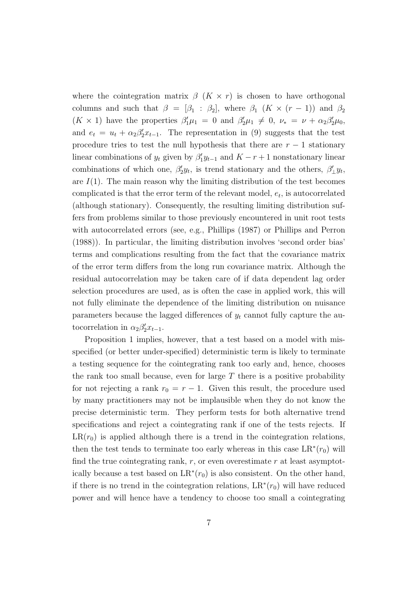where the cointegration matrix  $\beta$  ( $K \times r$ ) is chosen to have orthogonal columns and such that  $\beta = [\beta_1 : \beta_2]$ , where  $\beta_1$   $(K \times (r-1))$  and  $\beta_2$  $(K \times 1)$  have the properties  $\beta'_1 \mu_1 = 0$  and  $\beta'_2 \mu_1 \neq 0$ ,  $\nu_* = \nu + \alpha_2 \beta'_2 \mu_0$ , and  $e_t = u_t + \alpha_2 \beta'_2 x_{t-1}$ . The representation in (9) suggests that the test procedure tries to test the null hypothesis that there are  $r - 1$  stationary linear combinations of  $y_t$  given by  $\beta'_1 y_{t-1}$  and  $K - r + 1$  nonstationary linear combinations of which one,  $\beta'_2 y_t$ , is trend stationary and the others,  $\beta'_\perp y_t$ , are  $I(1)$ . The main reason why the limiting distribution of the test becomes complicated is that the error term of the relevant model,  $e_t$ , is autocorrelated (although stationary). Consequently, the resulting limiting distribution suffers from problems similar to those previously encountered in unit root tests with autocorrelated errors (see, e.g., Phillips (1987) or Phillips and Perron (1988)). In particular, the limiting distribution involves 'second order bias' terms and complications resulting from the fact that the covariance matrix of the error term differs from the long run covariance matrix. Although the residual autocorrelation may be taken care of if data dependent lag order selection procedures are used, as is often the case in applied work, this will not fully eliminate the dependence of the limiting distribution on nuisance parameters because the lagged differences of  $y_t$  cannot fully capture the autocorrelation in  $\alpha_2 \beta_2' x_{t-1}$ .

Proposition 1 implies, however, that a test based on a model with misspecified (or better under-specified) deterministic term is likely to terminate a testing sequence for the cointegrating rank too early and, hence, chooses the rank too small because, even for large  $T$  there is a positive probability for not rejecting a rank  $r_0 = r - 1$ . Given this result, the procedure used by many practitioners may not be implausible when they do not know the precise deterministic term. They perform tests for both alternative trend specifications and reject a cointegrating rank if one of the tests rejects. If  $LR(r_0)$  is applied although there is a trend in the cointegration relations, then the test tends to terminate too early whereas in this case  $LR^*(r_0)$  will find the true cointegrating rank,  $r$ , or even overestimate  $r$  at least asymptotically because a test based on  $LR^*(r_0)$  is also consistent. On the other hand, if there is no trend in the cointegration relations,  $LR^*(r_0)$  will have reduced power and will hence have a tendency to choose too small a cointegrating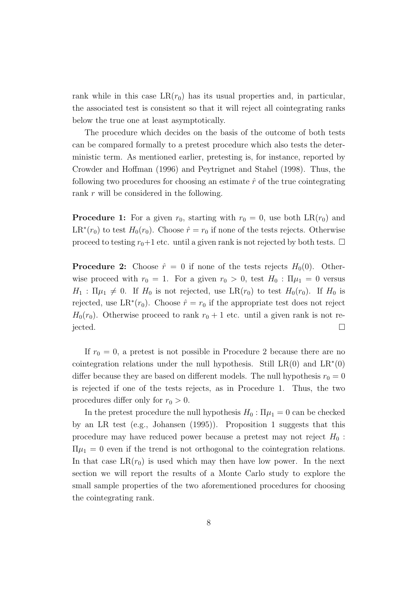rank while in this case  $LR(r_0)$  has its usual properties and, in particular, the associated test is consistent so that it will reject all cointegrating ranks below the true one at least asymptotically.

The procedure which decides on the basis of the outcome of both tests can be compared formally to a pretest procedure which also tests the deterministic term. As mentioned earlier, pretesting is, for instance, reported by Crowder and Hoffman (1996) and Peytrignet and Stahel (1998). Thus, the following two procedures for choosing an estimate  $\hat{r}$  of the true cointegrating rank r will be considered in the following.

**Procedure 1:** For a given  $r_0$ , starting with  $r_0 = 0$ , use both LR( $r_0$ ) and  $LR^*(r_0)$  to test  $H_0(r_0)$ . Choose  $\hat{r} = r_0$  if none of the tests rejects. Otherwise proceed to testing  $r_0+1$  etc. until a given rank is not rejected by both tests.  $\Box$ 

**Procedure 2:** Choose  $\hat{r} = 0$  if none of the tests rejects  $H_0(0)$ . Otherwise proceed with  $r_0 = 1$ . For a given  $r_0 > 0$ , test  $H_0 : \Pi \mu_1 = 0$  versus  $H_1$ :  $\Pi \mu_1 \neq 0$ . If  $H_0$  is not rejected, use  $LR(r_0)$  to test  $H_0(r_0)$ . If  $H_0$  is rejected, use  $LR^*(r_0)$ . Choose  $\hat{r} = r_0$  if the appropriate test does not reject  $H_0(r_0)$ . Otherwise proceed to rank  $r_0 + 1$  etc. until a given rank is not re- $\Box$  jected.

If  $r_0 = 0$ , a pretest is not possible in Procedure 2 because there are no cointegration relations under the null hypothesis. Still  $LR(0)$  and  $LR^*(0)$ differ because they are based on different models. The null hypothesis  $r_0 = 0$ is rejected if one of the tests rejects, as in Procedure 1. Thus, the two procedures differ only for  $r_0 > 0$ .

In the pretest procedure the null hypothesis  $H_0$ :  $\Pi \mu_1 = 0$  can be checked by an LR test (e.g., Johansen (1995)). Proposition 1 suggests that this procedure may have reduced power because a pretest may not reject  $H_0$ :  $\Pi \mu_1 = 0$  even if the trend is not orthogonal to the cointegration relations. In that case  $LR(r_0)$  is used which may then have low power. In the next section we will report the results of a Monte Carlo study to explore the small sample properties of the two aforementioned procedures for choosing the cointegrating rank.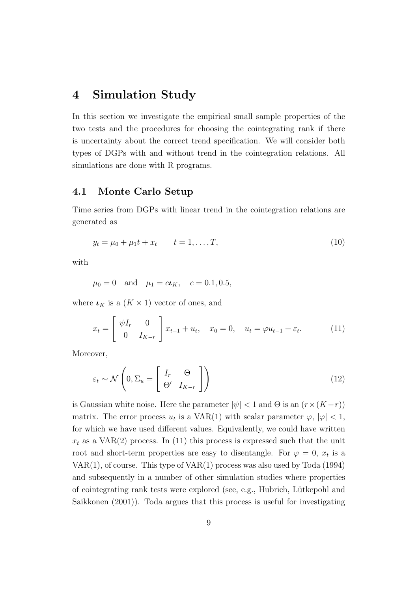### 4 Simulation Study

In this section we investigate the empirical small sample properties of the two tests and the procedures for choosing the cointegrating rank if there is uncertainty about the correct trend specification. We will consider both types of DGPs with and without trend in the cointegration relations. All simulations are done with R programs.

#### 4.1 Monte Carlo Setup

Time series from DGPs with linear trend in the cointegration relations are generated as

$$
y_t = \mu_0 + \mu_1 t + x_t \qquad t = 1, \dots, T,
$$
\n(10)

with

$$
\mu_0 = 0
$$
 and  $\mu_1 = c\iota_K$ ,  $c = 0.1, 0.5$ ,

where  $\iota_K$  is a  $(K \times 1)$  vector of ones, and

$$
x_t = \begin{bmatrix} \psi I_r & 0 \\ 0 & I_{K-r} \end{bmatrix} x_{t-1} + u_t, \quad x_0 = 0, \quad u_t = \varphi u_{t-1} + \varepsilon_t.
$$
 (11)

Moreover,

$$
\varepsilon_t \sim \mathcal{N}\left(0, \Sigma_u = \begin{bmatrix} I_r & \Theta \\ \Theta' & I_{K-r} \end{bmatrix}\right) \tag{12}
$$

is Gaussian white noise. Here the parameter  $|\psi| < 1$  and  $\Theta$  is an  $(r \times (K - r))$ matrix. The error process  $u_t$  is a VAR(1) with scalar parameter  $\varphi, |\varphi| < 1$ , for which we have used different values. Equivalently, we could have written  $x_t$  as a VAR(2) process. In (11) this process is expressed such that the unit root and short-term properties are easy to disentangle. For  $\varphi = 0, x_t$  is a VAR(1), of course. This type of VAR(1) process was also used by Toda (1994) and subsequently in a number of other simulation studies where properties of cointegrating rank tests were explored (see, e.g., Hubrich, L¨utkepohl and Saikkonen (2001)). Toda argues that this process is useful for investigating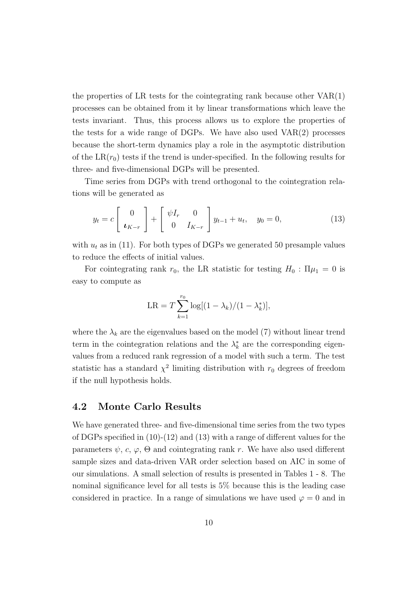the properties of LR tests for the cointegrating rank because other  $VAR(1)$ processes can be obtained from it by linear transformations which leave the tests invariant. Thus, this process allows us to explore the properties of the tests for a wide range of DGPs. We have also used VAR(2) processes because the short-term dynamics play a role in the asymptotic distribution of the  $LR(r_0)$  tests if the trend is under-specified. In the following results for three- and five-dimensional DGPs will be presented.

Time series from DGPs with trend orthogonal to the cointegration relations will be generated as

$$
y_t = c \begin{bmatrix} 0 \\ \mathbf{t}_{K-r} \end{bmatrix} + \begin{bmatrix} \psi I_r & 0 \\ 0 & I_{K-r} \end{bmatrix} y_{t-1} + u_t, \quad y_0 = 0,
$$
 (13)

with  $u_t$  as in (11). For both types of DGPs we generated 50 presample values to reduce the effects of initial values.

For cointegrating rank  $r_0$ , the LR statistic for testing  $H_0$ :  $\Pi \mu_1 = 0$  is easy to compute as

$$
LR = T \sum_{k=1}^{r_0} \log[(1 - \lambda_k)/(1 - \lambda_k^*)],
$$

where the  $\lambda_k$  are the eigenvalues based on the model (7) without linear trend term in the cointegration relations and the  $\lambda_k^*$  are the corresponding eigenvalues from a reduced rank regression of a model with such a term. The test statistic has a standard  $\chi^2$  limiting distribution with  $r_0$  degrees of freedom if the null hypothesis holds.

#### 4.2 Monte Carlo Results

We have generated three- and five-dimensional time series from the two types of DGPs specified in (10)-(12) and (13) with a range of different values for the parameters  $\psi$ , c,  $\varphi$ ,  $\Theta$  and cointegrating rank r. We have also used different sample sizes and data-driven VAR order selection based on AIC in some of our simulations. A small selection of results is presented in Tables 1 - 8. The nominal significance level for all tests is 5% because this is the leading case considered in practice. In a range of simulations we have used  $\varphi = 0$  and in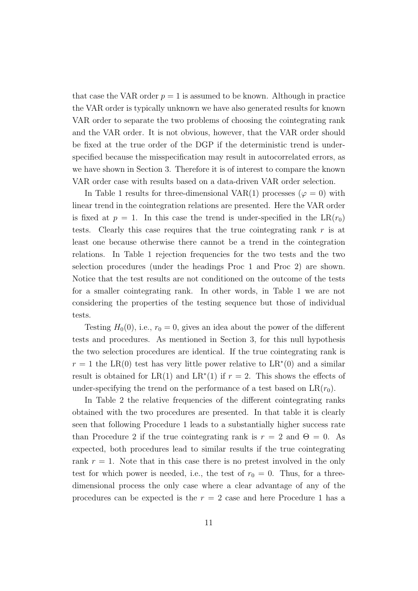that case the VAR order  $p = 1$  is assumed to be known. Although in practice the VAR order is typically unknown we have also generated results for known VAR order to separate the two problems of choosing the cointegrating rank and the VAR order. It is not obvious, however, that the VAR order should be fixed at the true order of the DGP if the deterministic trend is underspecified because the misspecification may result in autocorrelated errors, as we have shown in Section 3. Therefore it is of interest to compare the known VAR order case with results based on a data-driven VAR order selection.

In Table 1 results for three-dimensional VAR(1) processes ( $\varphi = 0$ ) with linear trend in the cointegration relations are presented. Here the VAR order is fixed at  $p = 1$ . In this case the trend is under-specified in the LR( $r_0$ ) tests. Clearly this case requires that the true cointegrating rank  $r$  is at least one because otherwise there cannot be a trend in the cointegration relations. In Table 1 rejection frequencies for the two tests and the two selection procedures (under the headings Proc 1 and Proc 2) are shown. Notice that the test results are not conditioned on the outcome of the tests for a smaller cointegrating rank. In other words, in Table 1 we are not considering the properties of the testing sequence but those of individual tests.

Testing  $H_0(0)$ , i.e.,  $r_0 = 0$ , gives an idea about the power of the different tests and procedures. As mentioned in Section 3, for this null hypothesis the two selection procedures are identical. If the true cointegrating rank is  $r = 1$  the LR(0) test has very little power relative to LR<sup>\*</sup>(0) and a similar result is obtained for LR(1) and LR<sup>\*</sup>(1) if  $r = 2$ . This shows the effects of under-specifying the trend on the performance of a test based on  $LR(r_0)$ .

In Table 2 the relative frequencies of the different cointegrating ranks obtained with the two procedures are presented. In that table it is clearly seen that following Procedure 1 leads to a substantially higher success rate than Procedure 2 if the true cointegrating rank is  $r = 2$  and  $\Theta = 0$ . As expected, both procedures lead to similar results if the true cointegrating rank  $r = 1$ . Note that in this case there is no pretest involved in the only test for which power is needed, i.e., the test of  $r_0 = 0$ . Thus, for a threedimensional process the only case where a clear advantage of any of the procedures can be expected is the  $r = 2$  case and here Procedure 1 has a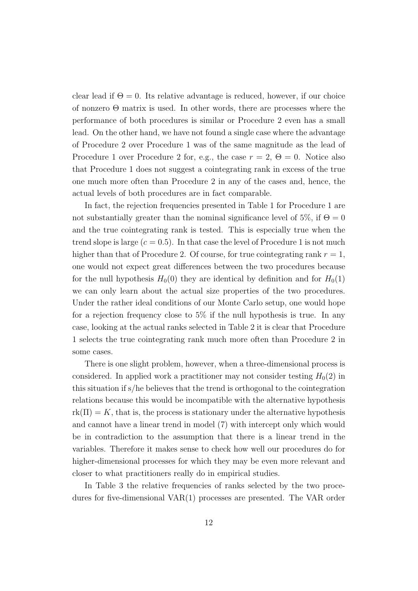clear lead if  $\Theta = 0$ . Its relative advantage is reduced, however, if our choice of nonzero Θ matrix is used. In other words, there are processes where the performance of both procedures is similar or Procedure 2 even has a small lead. On the other hand, we have not found a single case where the advantage of Procedure 2 over Procedure 1 was of the same magnitude as the lead of Procedure 1 over Procedure 2 for, e.g., the case  $r = 2$ ,  $\Theta = 0$ . Notice also that Procedure 1 does not suggest a cointegrating rank in excess of the true one much more often than Procedure 2 in any of the cases and, hence, the actual levels of both procedures are in fact comparable.

In fact, the rejection frequencies presented in Table 1 for Procedure 1 are not substantially greater than the nominal significance level of 5\%, if  $\Theta = 0$ and the true cointegrating rank is tested. This is especially true when the trend slope is large  $(c = 0.5)$ . In that case the level of Procedure 1 is not much higher than that of Procedure 2. Of course, for true cointegrating rank  $r = 1$ , one would not expect great differences between the two procedures because for the null hypothesis  $H_0(0)$  they are identical by definition and for  $H_0(1)$ we can only learn about the actual size properties of the two procedures. Under the rather ideal conditions of our Monte Carlo setup, one would hope for a rejection frequency close to 5% if the null hypothesis is true. In any case, looking at the actual ranks selected in Table 2 it is clear that Procedure 1 selects the true cointegrating rank much more often than Procedure 2 in some cases.

There is one slight problem, however, when a three-dimensional process is considered. In applied work a practitioner may not consider testing  $H_0(2)$  in this situation if s/he believes that the trend is orthogonal to the cointegration relations because this would be incompatible with the alternative hypothesis  $rk(\Pi) = K$ , that is, the process is stationary under the alternative hypothesis and cannot have a linear trend in model (7) with intercept only which would be in contradiction to the assumption that there is a linear trend in the variables. Therefore it makes sense to check how well our procedures do for higher-dimensional processes for which they may be even more relevant and closer to what practitioners really do in empirical studies.

In Table 3 the relative frequencies of ranks selected by the two procedures for five-dimensional VAR(1) processes are presented. The VAR order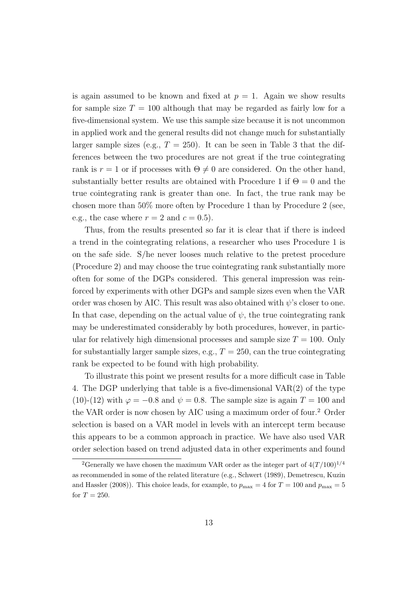is again assumed to be known and fixed at  $p = 1$ . Again we show results for sample size  $T = 100$  although that may be regarded as fairly low for a five-dimensional system. We use this sample size because it is not uncommon in applied work and the general results did not change much for substantially larger sample sizes (e.g.,  $T = 250$ ). It can be seen in Table 3 that the differences between the two procedures are not great if the true cointegrating rank is  $r = 1$  or if processes with  $\Theta \neq 0$  are considered. On the other hand, substantially better results are obtained with Procedure 1 if  $\Theta = 0$  and the true cointegrating rank is greater than one. In fact, the true rank may be chosen more than 50% more often by Procedure 1 than by Procedure 2 (see, e.g., the case where  $r = 2$  and  $c = 0.5$ .

Thus, from the results presented so far it is clear that if there is indeed a trend in the cointegrating relations, a researcher who uses Procedure 1 is on the safe side. S/he never looses much relative to the pretest procedure (Procedure 2) and may choose the true cointegrating rank substantially more often for some of the DGPs considered. This general impression was reinforced by experiments with other DGPs and sample sizes even when the VAR order was chosen by AIC. This result was also obtained with  $\psi$ 's closer to one. In that case, depending on the actual value of  $\psi$ , the true cointegrating rank may be underestimated considerably by both procedures, however, in particular for relatively high dimensional processes and sample size  $T = 100$ . Only for substantially larger sample sizes, e.g.,  $T = 250$ , can the true cointegrating rank be expected to be found with high probability.

To illustrate this point we present results for a more difficult case in Table 4. The DGP underlying that table is a five-dimensional VAR(2) of the type (10)-(12) with  $\varphi = -0.8$  and  $\psi = 0.8$ . The sample size is again  $T = 100$  and the VAR order is now chosen by AIC using a maximum order of four.<sup>2</sup> Order selection is based on a VAR model in levels with an intercept term because this appears to be a common approach in practice. We have also used VAR order selection based on trend adjusted data in other experiments and found

<sup>&</sup>lt;sup>2</sup>Generally we have chosen the maximum VAR order as the integer part of  $4(T/100)^{1/4}$ as recommended in some of the related literature (e.g., Schwert (1989), Demetrescu, Kuzin and Hassler (2008)). This choice leads, for example, to  $p_{\text{max}} = 4$  for  $T = 100$  and  $p_{\text{max}} = 5$ for  $T = 250$ .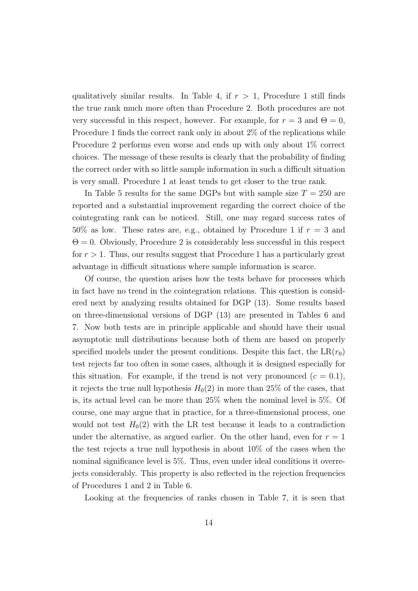qualitatively similar results. In Table 4, if  $r > 1$ , Procedure 1 still finds the true rank much more often than Procedure 2. Both procedures are not very successful in this respect, however. For example, for  $r = 3$  and  $\Theta = 0$ , Procedure 1 finds the correct rank only in about 2% of the replications while Procedure 2 performs even worse and ends up with only about 1% correct choices. The message of these results is clearly that the probability of finding the correct order with so little sample information in such a difficult situation is very small. Procedure 1 at least tends to get closer to the true rank.

In Table 5 results for the same DGPs but with sample size  $T = 250$  are reported and a substantial improvement regarding the correct choice of the cointegrating rank can be noticed. Still, one may regard success rates of  $50\%$  as low. These rates are, e.g., obtained by Procedure 1 if  $r = 3$  and  $\Theta = 0$ . Obviously, Procedure 2 is considerably less successful in this respect for  $r > 1$ . Thus, our results suggest that Procedure 1 has a particularly great advantage in difficult situations where sample information is scarce.

Of course, the question arises how the tests behave for processes which in fact have no trend in the cointegration relations. This question is considered next by analyzing results obtained for DGP (13). Some results based on three-dimensional versions of DGP (13) are presented in Tables 6 and 7. Now both tests are in principle applicable and should have their usual asymptotic null distributions because both of them are based on properly specified models under the present conditions. Despite this fact, the  $LR(r_0)$ test rejects far too often in some cases, although it is designed especially for this situation. For example, if the trend is not very pronounced  $(c = 0.1)$ , it rejects the true null hypothesis  $H_0(2)$  in more than 25% of the cases, that is, its actual level can be more than 25% when the nominal level is 5%. Of course, one may argue that in practice, for a three-dimensional process, one would not test  $H_0(2)$  with the LR test because it leads to a contradiction under the alternative, as argued earlier. On the other hand, even for  $r = 1$ the test rejects a true null hypothesis in about 10% of the cases when the nominal significance level is 5%. Thus, even under ideal conditions it overrejects considerably. This property is also reflected in the rejection frequencies of Procedures 1 and 2 in Table 6.

Looking at the frequencies of ranks chosen in Table 7, it is seen that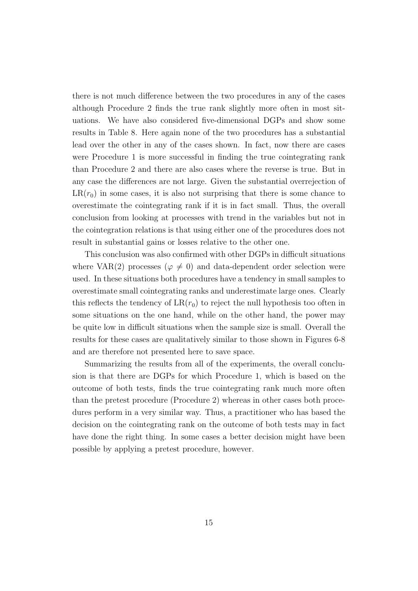there is not much difference between the two procedures in any of the cases although Procedure 2 finds the true rank slightly more often in most situations. We have also considered five-dimensional DGPs and show some results in Table 8. Here again none of the two procedures has a substantial lead over the other in any of the cases shown. In fact, now there are cases were Procedure 1 is more successful in finding the true cointegrating rank than Procedure 2 and there are also cases where the reverse is true. But in any case the differences are not large. Given the substantial overrejection of  $LR(r_0)$  in some cases, it is also not surprising that there is some chance to overestimate the cointegrating rank if it is in fact small. Thus, the overall conclusion from looking at processes with trend in the variables but not in the cointegration relations is that using either one of the procedures does not result in substantial gains or losses relative to the other one.

This conclusion was also confirmed with other DGPs in difficult situations where VAR(2) processes ( $\varphi \neq 0$ ) and data-dependent order selection were used. In these situations both procedures have a tendency in small samples to overestimate small cointegrating ranks and underestimate large ones. Clearly this reflects the tendency of  $LR(r_0)$  to reject the null hypothesis too often in some situations on the one hand, while on the other hand, the power may be quite low in difficult situations when the sample size is small. Overall the results for these cases are qualitatively similar to those shown in Figures 6-8 and are therefore not presented here to save space.

Summarizing the results from all of the experiments, the overall conclusion is that there are DGPs for which Procedure 1, which is based on the outcome of both tests, finds the true cointegrating rank much more often than the pretest procedure (Procedure 2) whereas in other cases both procedures perform in a very similar way. Thus, a practitioner who has based the decision on the cointegrating rank on the outcome of both tests may in fact have done the right thing. In some cases a better decision might have been possible by applying a pretest procedure, however.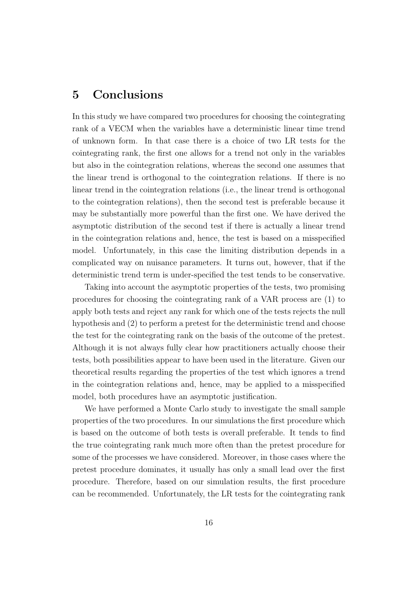### 5 Conclusions

In this study we have compared two procedures for choosing the cointegrating rank of a VECM when the variables have a deterministic linear time trend of unknown form. In that case there is a choice of two LR tests for the cointegrating rank, the first one allows for a trend not only in the variables but also in the cointegration relations, whereas the second one assumes that the linear trend is orthogonal to the cointegration relations. If there is no linear trend in the cointegration relations (i.e., the linear trend is orthogonal to the cointegration relations), then the second test is preferable because it may be substantially more powerful than the first one. We have derived the asymptotic distribution of the second test if there is actually a linear trend in the cointegration relations and, hence, the test is based on a misspecified model. Unfortunately, in this case the limiting distribution depends in a complicated way on nuisance parameters. It turns out, however, that if the deterministic trend term is under-specified the test tends to be conservative.

Taking into account the asymptotic properties of the tests, two promising procedures for choosing the cointegrating rank of a VAR process are (1) to apply both tests and reject any rank for which one of the tests rejects the null hypothesis and (2) to perform a pretest for the deterministic trend and choose the test for the cointegrating rank on the basis of the outcome of the pretest. Although it is not always fully clear how practitioners actually choose their tests, both possibilities appear to have been used in the literature. Given our theoretical results regarding the properties of the test which ignores a trend in the cointegration relations and, hence, may be applied to a misspecified model, both procedures have an asymptotic justification.

We have performed a Monte Carlo study to investigate the small sample properties of the two procedures. In our simulations the first procedure which is based on the outcome of both tests is overall preferable. It tends to find the true cointegrating rank much more often than the pretest procedure for some of the processes we have considered. Moreover, in those cases where the pretest procedure dominates, it usually has only a small lead over the first procedure. Therefore, based on our simulation results, the first procedure can be recommended. Unfortunately, the LR tests for the cointegrating rank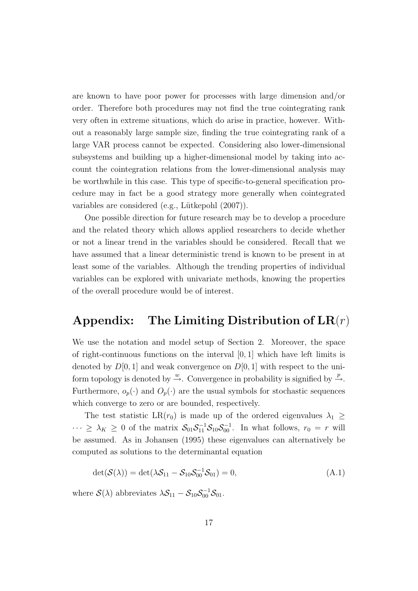are known to have poor power for processes with large dimension and/or order. Therefore both procedures may not find the true cointegrating rank very often in extreme situations, which do arise in practice, however. Without a reasonably large sample size, finding the true cointegrating rank of a large VAR process cannot be expected. Considering also lower-dimensional subsystems and building up a higher-dimensional model by taking into account the cointegration relations from the lower-dimensional analysis may be worthwhile in this case. This type of specific-to-general specification procedure may in fact be a good strategy more generally when cointegrated variables are considered (e.g., Lütkepohl  $(2007)$ ).

One possible direction for future research may be to develop a procedure and the related theory which allows applied researchers to decide whether or not a linear trend in the variables should be considered. Recall that we have assumed that a linear deterministic trend is known to be present in at least some of the variables. Although the trending properties of individual variables can be explored with univariate methods, knowing the properties of the overall procedure would be of interest.

## Appendix: The Limiting Distribution of  $LR(r)$

We use the notation and model setup of Section 2. Moreover, the space of right-continuous functions on the interval [0, 1] which have left limits is denoted by  $D[0, 1]$  and weak convergence on  $D[0, 1]$  with respect to the uniform topology is denoted by  $\stackrel{w}{\rightarrow}$ . Convergence in probability is signified by  $\stackrel{p}{\rightarrow}$ . Furthermore,  $o_p(\cdot)$  and  $O_p(\cdot)$  are the usual symbols for stochastic sequences which converge to zero or are bounded, respectively.

The test statistic LR( $r_0$ ) is made up of the ordered eigenvalues  $\lambda_1 \geq$  $\cdots \geq \lambda_K \geq 0$  of the matrix  $S_{01}S_{11}^{-1}S_{10}S_{00}^{-1}$ . In what follows,  $r_0 = r$  will be assumed. As in Johansen (1995) these eigenvalues can alternatively be computed as solutions to the determinantal equation

$$
\det(\mathcal{S}(\lambda)) = \det(\lambda \mathcal{S}_{11} - \mathcal{S}_{10} \mathcal{S}_{00}^{-1} \mathcal{S}_{01}) = 0,
$$
\n(A.1)

where  $S(\lambda)$  abbreviates  $\lambda S_{11} - S_{10} S_{00}^{-1} S_{01}$ .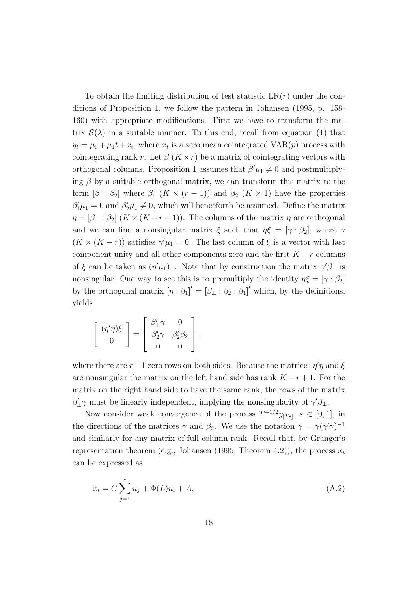To obtain the limiting distribution of test statistic  $LR(r)$  under the conditions of Proposition 1, we follow the pattern in Johansen (1995, p. 158- 160) with appropriate modifications. First we have to transform the matrix  $\mathcal{S}(\lambda)$  in a suitable manner. To this end, recall from equation (1) that  $y_t = \mu_0 + \mu_1 t + x_t$ , where  $x_t$  is a zero mean cointegrated VAR $(p)$  process with cointegrating rank r. Let  $\beta$  ( $K \times r$ ) be a matrix of cointegrating vectors with orthogonal columns. Proposition 1 assumes that  $\beta'\mu_1 \neq 0$  and postmultiplying  $\beta$  by a suitable orthogonal matrix, we can transform this matrix to the form  $[\beta_1 : \beta_2]$  where  $\beta_1$   $(K \times (r-1))$  and  $\beta_2$   $(K \times 1)$  have the properties  $\beta'_1\mu_1 = 0$  and  $\beta'_2\mu_1 \neq 0$ , which will henceforth be assumed. Define the matrix  $\eta = [\beta_{\perp} : \beta_2]$   $(K \times (K - r + 1))$ . The columns of the matrix  $\eta$  are orthogonal and we can find a nonsingular matrix  $\xi$  such that  $\eta \xi = [\gamma : \beta_2]$ , where  $\gamma$  $(K \times (K - r))$  satisfies  $\gamma'\mu_1 = 0$ . The last column of  $\xi$  is a vector with last component unity and all other components zero and the first  $K - r$  columns of  $\xi$  can be taken as  $(\eta'\mu_1)_\perp$ . Note that by construction the matrix  $\gamma'\beta_\perp$  is nonsingular. One way to see this is to premultiply the identity  $\eta \xi = [\gamma : \beta_2]$ by the orthogonal matrix  $[\eta : \beta_1]' = [\beta_1 : \beta_2 : \beta_1]'$  which, by the definitions, yields

$$
\left[\begin{array}{c}(\eta'\eta)\xi\\0\end{array}\right]=\left[\begin{array}{cc}\beta'_\perp\gamma&0\\ \beta'_2\gamma&\beta'_2\beta_2\\0&0\end{array}\right],
$$

where there are  $r-1$  zero rows on both sides. Because the matrices  $\eta' \eta$  and  $\xi$ are nonsingular the matrix on the left hand side has rank  $K - r + 1$ . For the matrix on the right hand side to have the same rank, the rows of the matrix  $\beta'_{\perp}\gamma$  must be linearly independent, implying the nonsingularity of  $\gamma'\beta_{\perp}$ .

Now consider weak convergence of the process  $T^{-1/2}y_{T_s}$ ,  $s \in [0,1]$ , in the directions of the matrices  $\gamma$  and  $\beta_2$ . We use the notation  $\bar{\gamma} = \gamma(\gamma'\gamma)^{-1}$ and similarly for any matrix of full column rank. Recall that, by Granger's representation theorem (e.g., Johansen (1995, Theorem 4.2)), the process  $x_t$ can be expressed as

$$
x_t = C \sum_{j=1}^t u_j + \Phi(L)u_t + A,
$$
\n(A.2)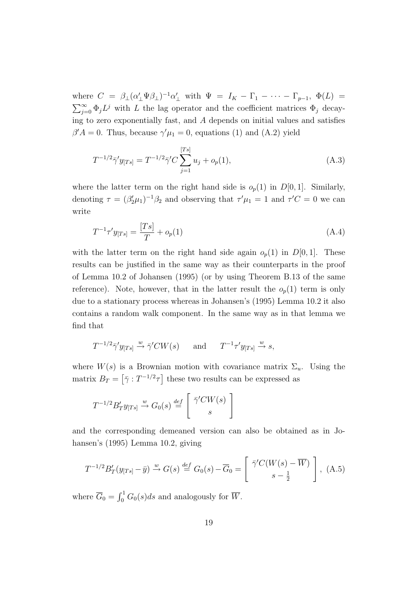where  $C = \beta_{\perp} (\alpha'_{\perp} \Psi \beta_{\perp})^{-1} \alpha'_{\perp}$  with  $\Psi = I_K - \Gamma_1 - \cdots - \Gamma_{p-1}$ ,  $\Phi(L) =$  $\sum_{n=1}^{\infty}$  $\sum_{j=0}^{\infty} \Phi_j L^j$  with L the lag operator and the coefficient matrices  $\Phi_j$  decaying to zero exponentially fast, and  $A$  depends on initial values and satisfies  $\beta' A = 0$ . Thus, because  $\gamma' \mu_1 = 0$ , equations (1) and (A.2) yield

$$
T^{-1/2}\bar{\gamma}'y_{[Ts]} = T^{-1/2}\bar{\gamma}'C \sum_{j=1}^{[Ts]} u_j + o_p(1), \qquad (A.3)
$$

where the latter term on the right hand side is  $o_p(1)$  in  $D[0, 1]$ . Similarly, denoting  $\tau = (\beta_2'\mu_1)^{-1}\beta_2$  and observing that  $\tau'\mu_1 = 1$  and  $\tau'C = 0$  we can write

$$
T^{-1}\tau' y_{[Ts]} = \frac{[Ts]}{T} + o_p(1)
$$
\n(A.4)

with the latter term on the right hand side again  $o_p(1)$  in  $D[0, 1]$ . These results can be justified in the same way as their counterparts in the proof of Lemma 10.2 of Johansen (1995) (or by using Theorem B.13 of the same reference). Note, however, that in the latter result the  $o_p(1)$  term is only due to a stationary process whereas in Johansen's (1995) Lemma 10.2 it also contains a random walk component. In the same way as in that lemma we find that

$$
T^{-1/2}\bar{\gamma}'y_{[Ts]} \stackrel{w}{\rightarrow} \bar{\gamma}'CW(s)
$$
 and  $T^{-1}\tau'y_{[Ts]} \stackrel{w}{\rightarrow} s$ ,

where  $W(s)$  is a Brownian motion with covariance matrix  $\Sigma_u$ . Using the matrix  $B_T = \left[\bar{\gamma} : T^{-1/2}\tau\right]$  these two results can be expressed as

$$
T^{-1/2}B'_T y_{[Ts]} \xrightarrow{w} G_0(s) \stackrel{def}{=} \left[ \begin{array}{c} \bar{\gamma}' CW(s) \\ s \end{array} \right]
$$

and the corresponding demeaned version can also be obtained as in Johansen's (1995) Lemma 10.2, giving

$$
T^{-1/2}B'_T(y_{[Ts]} - \bar{y}) \xrightarrow{w} G(s) \stackrel{def}{=} G_0(s) - \overline{G}_0 = \begin{bmatrix} \bar{\gamma}'C(W(s) - \overline{W}) \\ s - \frac{1}{2} \end{bmatrix}, \text{ (A.5)}
$$

where  $\overline{G}_0 =$  $r<sup>1</sup>$  $\int_0^1 G_0(s)ds$  and analogously for  $\overline{W}$ .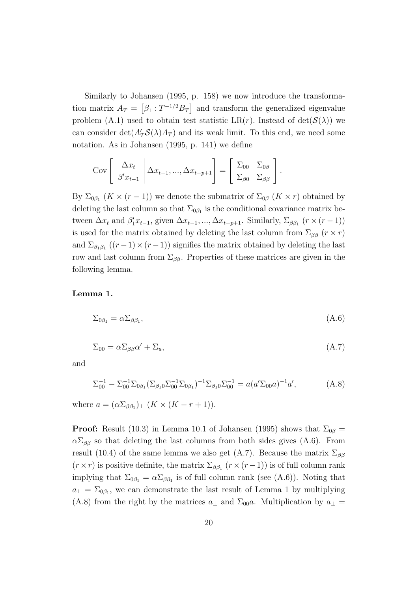Similarly to Johansen (1995, p. 158) we now introduce the transformation matrix  $A_T =$ ¤<br>⊤  $\beta_1$  :  $T^{-1/2}B_T$ ا<br>and transform the generalized eigenvalue problem (A.1) used to obtain test statistic LR(r). Instead of  $det(S(\lambda))$  we can consider  $\det(A'_T \mathcal{S}(\lambda) A_T)$  and its weak limit. To this end, we need some notation. As in Johansen (1995, p. 141) we define

$$
Cov\left[\begin{array}{c} \Delta x_t \\ \beta' x_{t-1} \end{array} \middle| \Delta x_{t-1}, ..., \Delta x_{t-p+1} \right] = \left[\begin{array}{cc} \Sigma_{00} & \Sigma_{0\beta} \\ \Sigma_{\beta 0} & \Sigma_{\beta \beta} \end{array} \right].
$$

By  $\Sigma_{0\beta_1}$   $(K \times (r-1))$  we denote the submatrix of  $\Sigma_{0\beta}$   $(K \times r)$  obtained by deleting the last column so that  $\Sigma_{0\beta_1}$  is the conditional covariance matrix between  $\Delta x_t$  and  $\beta'_1 x_{t-1}$ , given  $\Delta x_{t-1}$ , ...,  $\Delta x_{t-p+1}$ . Similarly,  $\Sigma_{\beta\beta_1}$   $(r \times (r-1))$ is used for the matrix obtained by deleting the last column from  $\Sigma_{\beta\beta}$  ( $r \times r$ ) and  $\Sigma_{\beta_1,\beta_1}((r-1)\times(r-1))$  signifies the matrix obtained by deleting the last row and last column from  $\Sigma_{\beta\beta}$ . Properties of these matrices are given in the following lemma.

#### Lemma 1.

$$
\Sigma_{0\beta_1} = \alpha \Sigma_{\beta\beta_1},\tag{A.6}
$$

$$
\Sigma_{00} = \alpha \Sigma_{\beta\beta} \alpha' + \Sigma_u,\tag{A.7}
$$

and

$$
\Sigma_{00}^{-1} - \Sigma_{00}^{-1} \Sigma_{0\beta_1} (\Sigma_{\beta_1 0} \Sigma_{00}^{-1} \Sigma_{0\beta_1})^{-1} \Sigma_{\beta_1 0} \Sigma_{00}^{-1} = a (a' \Sigma_{00} a)^{-1} a', \tag{A.8}
$$

where  $a = (\alpha \Sigma_{\beta \beta_1})_{\perp} (K \times (K - r + 1)).$ 

**Proof:** Result (10.3) in Lemma 10.1 of Johansen (1995) shows that  $\Sigma_{0\beta} =$  $\alpha \Sigma_{\beta\beta}$  so that deleting the last columns from both sides gives (A.6). From result (10.4) of the same lemma we also get (A.7). Because the matrix  $\Sigma_{\beta\beta}$  $(r \times r)$  is positive definite, the matrix  $\Sigma_{\beta\beta_1}$   $(r \times (r-1))$  is of full column rank implying that  $\Sigma_{0\beta_1} = \alpha \Sigma_{\beta\beta_1}$  is of full column rank (see (A.6)). Noting that  $a_{\perp} = \Sigma_{0\beta_1}$ , we can demonstrate the last result of Lemma 1 by multiplying (A.8) from the right by the matrices  $a_{\perp}$  and  $\Sigma_{00}a$ . Multiplication by  $a_{\perp}$  =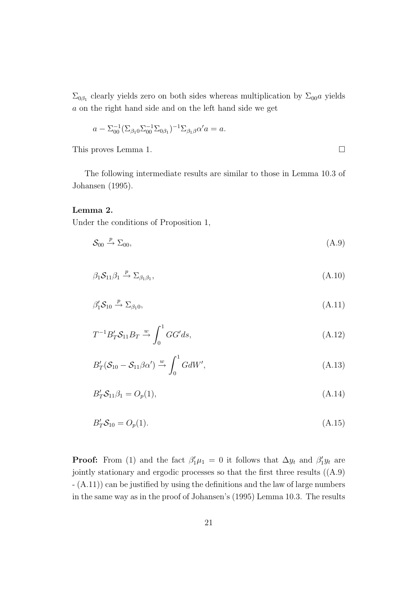$\Sigma_{0\beta_1}$  clearly yields zero on both sides whereas multiplication by  $\Sigma_{00}a$  yields a on the right hand side and on the left hand side we get

$$
a - \Sigma_{00}^{-1} (\Sigma_{\beta_1 0} \Sigma_{00}^{-1} \Sigma_{0\beta_1})^{-1} \Sigma_{\beta_1 \beta} \alpha' a = a.
$$

This proves Lemma 1.  $\Box$ 

The following intermediate results are similar to those in Lemma 10.3 of Johansen (1995).

#### Lemma 2.

Under the conditions of Proposition 1,

$$
\mathcal{S}_{00} \stackrel{p}{\rightarrow} \Sigma_{00},\tag{A.9}
$$

$$
\beta_1 \mathcal{S}_{11} \beta_1 \xrightarrow{p} \Sigma_{\beta_1 \beta_1},\tag{A.10}
$$

$$
\beta_1' \mathcal{S}_{10} \xrightarrow{p} \Sigma_{\beta_1 0}, \tag{A.11}
$$

$$
T^{-1}B'_T S_{11}B_T \xrightarrow{w} \int_0^1 GG' ds,
$$
\n(A.12)

$$
B'_{T}(\mathcal{S}_{10} - \mathcal{S}_{11}\beta\alpha') \xrightarrow{w} \int_{0}^{1} GdW', \qquad (A.13)
$$

$$
B'_T S_{11} \beta_1 = O_p(1), \tag{A.14}
$$

$$
B'_{T}S_{10} = O_p(1). \tag{A.15}
$$

**Proof:** From (1) and the fact  $\beta'_1\mu_1 = 0$  it follows that  $\Delta y_t$  and  $\beta'_1y_t$  are jointly stationary and ergodic processes so that the first three results ((A.9) - (A.11)) can be justified by using the definitions and the law of large numbers in the same way as in the proof of Johansen's (1995) Lemma 10.3. The results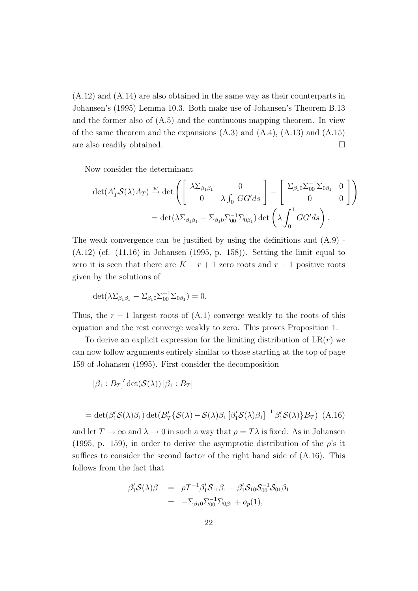(A.12) and (A.14) are also obtained in the same way as their counterparts in Johansen's (1995) Lemma 10.3. Both make use of Johansen's Theorem B.13 and the former also of (A.5) and the continuous mapping theorem. In view of the same theorem and the expansions  $(A.3)$  and  $(A.4)$ ,  $(A.13)$  and  $(A.15)$ are also readily obtained.  $\Box$ 

Now consider the determinant

$$
\det(A'_T \mathcal{S}(\lambda) A_T) \xrightarrow{w} \det \left( \begin{bmatrix} \lambda \Sigma_{\beta_1 \beta_1} & 0 \\ 0 & \lambda \int_0^1 G G' ds \end{bmatrix} - \begin{bmatrix} \Sigma_{\beta_1 0} \Sigma_{00}^{-1} \Sigma_{0\beta_1} & 0 \\ 0 & 0 \end{bmatrix} \right)
$$
  
= 
$$
\det(\lambda \Sigma_{\beta_1 \beta_1} - \Sigma_{\beta_1 0} \Sigma_{00}^{-1} \Sigma_{0\beta_1}) \det \left( \lambda \int_0^1 G G' ds \right).
$$

The weak convergence can be justified by using the definitions and  $(A.9)$ .  $(A.12)$  (cf.  $(11.16)$ ) in Johansen (1995, p. 158)). Setting the limit equal to zero it is seen that there are  $K - r + 1$  zero roots and  $r - 1$  positive roots given by the solutions of

$$
\det(\lambda \Sigma_{\beta_1 \beta_1} - \Sigma_{\beta_1 0} \Sigma_{00}^{-1} \Sigma_{0\beta_1}) = 0.
$$

Thus, the  $r - 1$  largest roots of  $(A.1)$  converge weakly to the roots of this equation and the rest converge weakly to zero. This proves Proposition 1.

To derive an explicit expression for the limiting distribution of  $LR(r)$  we can now follow arguments entirely similar to those starting at the top of page 159 of Johansen (1995). First consider the decomposition

$$
[\beta_1:B_T]' \det(\mathcal{S}(\lambda)) [\beta_1:B_T]
$$

$$
= \det(\beta'_1 \mathcal{S}(\lambda)\beta_1) \det(B'_T \{\mathcal{S}(\lambda) - \mathcal{S}(\lambda)\beta_1 [\beta'_1 \mathcal{S}(\lambda)\beta_1]^{-1} \beta'_1 \mathcal{S}(\lambda)\}B_T) (A.16)
$$

and let  $T \to \infty$  and  $\lambda \to 0$  in such a way that  $\rho = T\lambda$  is fixed. As in Johansen (1995, p. 159), in order to derive the asymptotic distribution of the  $\rho$ 's it suffices to consider the second factor of the right hand side of (A.16). This follows from the fact that

$$
\beta_1' \mathcal{S}(\lambda) \beta_1 = \rho T^{-1} \beta_1' \mathcal{S}_{11} \beta_1 - \beta_1' \mathcal{S}_{10} \mathcal{S}_{00}^{-1} \mathcal{S}_{01} \beta_1 \n= -\Sigma_{\beta_1 0} \Sigma_{00}^{-1} \Sigma_{0\beta_1} + o_p(1),
$$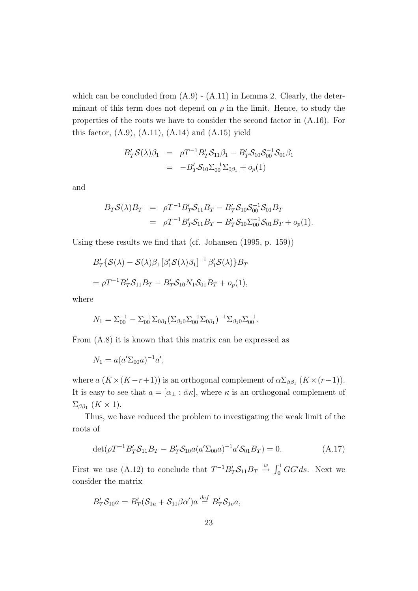which can be concluded from  $(A.9) - (A.11)$  in Lemma 2. Clearly, the determinant of this term does not depend on  $\rho$  in the limit. Hence, to study the properties of the roots we have to consider the second factor in (A.16). For this factor,  $(A.9)$ ,  $(A.11)$ ,  $(A.14)$  and  $(A.15)$  yield

$$
B'_T S(\lambda) \beta_1 = \rho T^{-1} B'_T S_{11} \beta_1 - B'_T S_{10} S_{00}^{-1} S_{01} \beta_1
$$
  
= 
$$
-B'_T S_{10} \Sigma_{00}^{-1} \Sigma_{0\beta_1} + o_p(1)
$$

and

$$
B_T S(\lambda) B_T = \rho T^{-1} B_T' S_{11} B_T - B_T' S_{10} S_{00}^{-1} S_{01} B_T
$$
  
= 
$$
\rho T^{-1} B_T' S_{11} B_T - B_T' S_{10} \Sigma_{00}^{-1} S_{01} B_T + o_p(1).
$$

Using these results we find that (cf. Johansen (1995, p. 159))

$$
B'_T\{S(\lambda) - S(\lambda)\beta_1 [\beta'_1 S(\lambda)\beta_1]^{-1} \beta'_1 S(\lambda)\}B_T
$$
  
=  $\rho T^{-1}B'_T S_{11}B_T - B'_T S_{10}N_1 S_{01}B_T + o_p(1),$ 

where

$$
N_1 = \Sigma_{00}^{-1} - \Sigma_{00}^{-1} \Sigma_{0\beta_1} (\Sigma_{\beta_1 0} \Sigma_{00}^{-1} \Sigma_{0\beta_1})^{-1} \Sigma_{\beta_1 0} \Sigma_{00}^{-1}.
$$

From (A.8) it is known that this matrix can be expressed as

$$
N_1 = a(a'\Sigma_{00}a)^{-1}a',
$$

where  $a(K \times (K-r+1))$  is an orthogonal complement of  $\alpha \Sigma_{\beta \beta_1} (K \times (r-1))$ . It is easy to see that  $a = [\alpha_{\perp} : \bar{\alpha}\kappa]$ , where  $\kappa$  is an orthogonal complement of  $\Sigma_{\beta\beta_1}$  (K × 1).

Thus, we have reduced the problem to investigating the weak limit of the roots of

$$
\det(\rho T^{-1} B'_T S_{11} B_T - B'_T S_{10} a (a' \Sigma_{00} a)^{-1} a' S_{01} B_T) = 0.
$$
 (A.17)

First we use (A.12) to conclude that  $T^{-1}B'_T\mathcal{S}_{11}B_T \stackrel{w}{\rightarrow} \int_0^1$  $\int_0^1 GG' ds$ . Next we consider the matrix

$$
B'_T S_{10} a = B'_T (S_{1u} + S_{11} \beta \alpha') a \stackrel{def}{=} B'_T S_{1v} a,
$$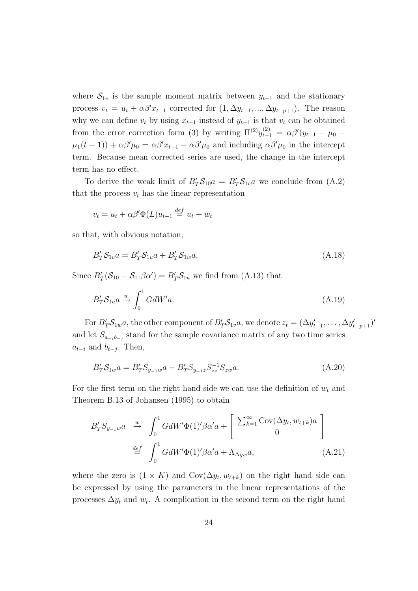where  $S_{1v}$  is the sample moment matrix between  $y_{t-1}$  and the stationary process  $v_t = u_t + \alpha \beta' x_{t-1}$  corrected for  $(1, \Delta y_{t-1}, ..., \Delta y_{t-p+1})$ . The reason why we can define  $v_t$  by using  $x_{t-1}$  instead of  $y_{t-1}$  is that  $v_t$  can be obtained from the error correction form (3) by writing  $\Pi^{(2)}y_{t-1}^{(2)} = \alpha \beta'(y_{t-1} - \mu_0 \mu_1(t-1) + \alpha \beta' \mu_0 = \alpha \beta' x_{t-1} + \alpha \beta' \mu_0$  and including  $\alpha \beta' \mu_0$  in the intercept term. Because mean corrected series are used, the change in the intercept term has no effect.

To derive the weak limit of  $B'_T S_{10} a = B'_T S_{1v} a$  we conclude from (A.2) that the process  $v_t$  has the linear representation

$$
v_t = u_t + \alpha \beta' \Phi(L) u_{t-1} \stackrel{def}{=} u_t + w_t
$$

so that, with obvious notation,

$$
B'_T S_{1v} a = B'_T S_{1u} a + B'_T S_{1w} a.
$$
\n(A.18)

Since  $B'_T(\mathcal{S}_{10} - \mathcal{S}_{11}\beta\alpha') = B'_T\mathcal{S}_{1u}$  we find from (A.13) that

$$
B'_T S_{1u} a \xrightarrow{w} \int_0^1 G dW' a. \tag{A.19}
$$

For  $B'_T S_{1w} a$ , the other component of  $B'_T S_{1v} a$ , we denote  $z_t = (\Delta y'_{t-1}, \ldots, \Delta y'_{t-p+1})'$ and let  $S_{a_{-i}b_{-j}}$  stand for the sample covariance matrix of any two time series  $a_{t-i}$  and  $b_{t-j}$ . Then,

$$
B'_{T}S_{1w}a = B'_{T}S_{y_{-1}w}a - B'_{T}S_{y_{-1}z}S_{zz}^{-1}S_{zw}a.
$$
\n(A.20)

For the first term on the right hand side we can use the definition of  $w_t$  and Theorem B.13 of Johansen (1995) to obtain

$$
B'_{T}S_{y_{-1}w}a \xrightarrow{w} \int_{0}^{1} GdW'\Phi(1)'\beta\alpha'a + \left[\begin{array}{c} \sum_{k=1}^{\infty} \text{Cov}(\Delta y_{t}, w_{t+k})a\\ 0 \end{array}\right]_{0}
$$
  

$$
\stackrel{def}{=} \int_{0}^{1} GdW'\Phi(1)'\beta\alpha'a + \Lambda_{\Delta yw}a,
$$
 (A.21)

where the zero is  $(1 \times K)$  and  $Cov(\Delta y_t, w_{t+k})$  on the right hand side can be expressed by using the parameters in the linear representations of the processes  $\Delta y_t$  and  $w_t$ . A complication in the second term on the right hand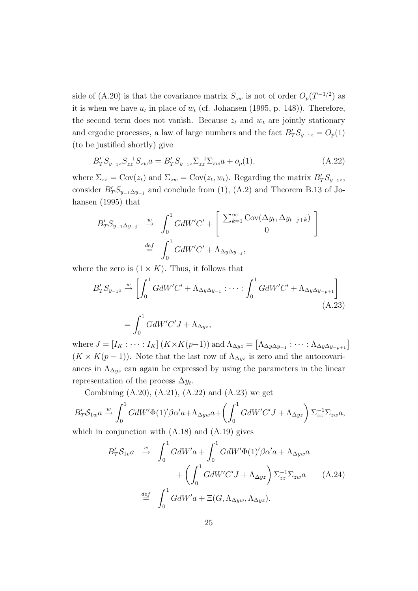side of (A.20) is that the covariance matrix  $S_{zw}$  is not of order  $O_p(T^{-1/2})$  as it is when we have  $u_t$  in place of  $w_t$  (cf. Johansen (1995, p. 148)). Therefore, the second term does not vanish. Because  $z_t$  and  $w_t$  are jointly stationary and ergodic processes, a law of large numbers and the fact  $B'_T S_{y_{-1}z} = O_p(1)$ (to be justified shortly) give

$$
B'_{T}S_{y_{-1}z}S_{zz}^{-1}S_{zw}a = B'_{T}S_{y_{-1}z}\Sigma_{zz}^{-1}\Sigma_{zw}a + o_p(1),
$$
\n(A.22)

where  $\Sigma_{zz} = \text{Cov}(z_t)$  and  $\Sigma_{zw} = \text{Cov}(z_t, w_t)$ . Regarding the matrix  $B'_T S_{y-1z}$ , consider  $B'_T S_{y-1} \Delta y_{-j}$  and conclude from (1), (A.2) and Theorem B.13 of Johansen (1995) that

$$
B'_{T}S_{y_{-1}\Delta y_{-j}} \stackrel{w}{\rightarrow} \int_{0}^{1} GdW'C' + \left[ \begin{array}{c} \sum_{k=1}^{\infty} \text{Cov}(\Delta y_{t}, \Delta y_{t-j+k}) \\ 0 \end{array} \right]
$$
  

$$
\stackrel{def}{=} \int_{0}^{1} GdW'C' + \Lambda_{\Delta y \Delta y_{-j}},
$$

where the zero is  $(1 \times K)$ . Thus, it follows that

$$
B'_{T}S_{y_{-1}z} \xrightarrow{w} \left[ \int_{0}^{1} GdW'C' + \Lambda_{\Delta y \Delta y_{-1}} : \cdots : \int_{0}^{1} GdW'C' + \Lambda_{\Delta y \Delta y_{-p+1}} \right]
$$
  
= 
$$
\int_{0}^{1} GdW'C'J + \Lambda_{\Delta yz},
$$

where  $J = [I_K : \cdots : I_K]$   $(K \times K(p-1))$  and  $\Lambda_{\Delta yz} =$  $\Lambda_{\Delta y \Delta y_{-1}} : \cdots : \Lambda_{\Delta y \Delta y_{-p+1}}]$  $(K \times K(p-1))$ . Note that the last row of  $\Lambda_{\Delta yz}$  is zero and the autocovariances in  $\Lambda_{\Delta yz}$  can again be expressed by using the parameters in the linear representation of the process  $\Delta y_t$ .

Combining  $(A.20)$ ,  $(A.21)$ ,  $(A.22)$  and  $(A.23)$  we get

$$
B'_T S_{1w} a \xrightarrow{w} \int_0^1 G dW' \Phi(1)' \beta \alpha' a + \Lambda_{\Delta y w} a + \left( \int_0^1 G dW' C' J + \Lambda_{\Delta y z} \right) \Sigma_{zz}^{-1} \Sigma_{zw} a,
$$

which in conjunction with (A.18) and (A.19) gives

$$
B'_{T}S_{1v}a \stackrel{w}{\rightarrow} \int_{0}^{1} GdW'a + \int_{0}^{1} GdW'\Phi(1)'\beta\alpha'a + \Lambda_{\Delta yw}a + \left(\int_{0}^{1} GdW'C'J + \Lambda_{\Delta yz}\right)\Sigma_{zz}^{-1}\Sigma_{zw}a \qquad (A.24)
$$

$$
\stackrel{def}{=} \int_{0}^{1} GdW'a + \Xi(G, \Lambda_{\Delta yw}, \Lambda_{\Delta yz}).
$$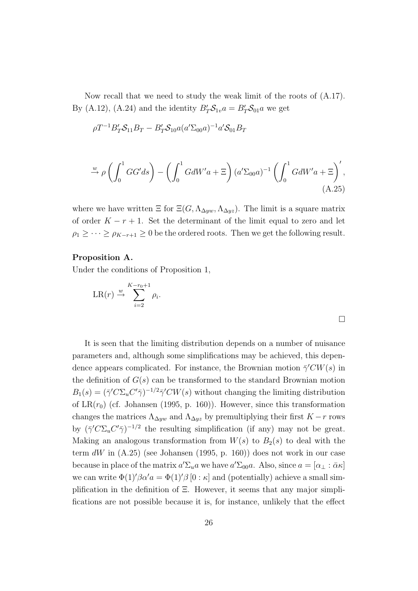Now recall that we need to study the weak limit of the roots of (A.17). By (A.12), (A.24) and the identity  $B'_T S_{1v} a = B'_T S_{01} a$  we get

$$
\rho T^{-1} B'_T S_{11} B_T - B'_T S_{10} a (a' \Sigma_{00} a)^{-1} a' S_{01} B_T
$$

$$
\stackrel{w}{\rightarrow} \rho \left( \int_0^1 GG' ds \right) - \left( \int_0^1 G dW' a + \Xi \right) (a' \Sigma_{00} a)^{-1} \left( \int_0^1 G dW' a + \Xi \right)',
$$
\n(A.25)

where we have written  $\Xi$  for  $\Xi(G, \Lambda_{\Delta yw}, \Lambda_{\Delta yz})$ . The limit is a square matrix of order  $K - r + 1$ . Set the determinant of the limit equal to zero and let  $\rho_1 \geq \cdots \geq \rho_{K-r+1} \geq 0$  be the ordered roots. Then we get the following result.

#### Proposition A.

Under the conditions of Proposition 1,

$$
LR(r) \stackrel{w}{\rightarrow} \sum_{i=2}^{K-r_0+1} \rho_i.
$$

It is seen that the limiting distribution depends on a number of nuisance parameters and, although some simplifications may be achieved, this dependence appears complicated. For instance, the Brownian motion  $\bar{\gamma}'$ CW(s) in the definition of  $G(s)$  can be transformed to the standard Brownian motion  $B_1(s) = (\bar{\gamma}' C \Sigma_u C' \bar{\gamma})^{-1/2} \bar{\gamma}' C W(s)$  without changing the limiting distribution of  $LR(r_0)$  (cf. Johansen (1995, p. 160)). However, since this transformation changes the matrices  $\Lambda_{\Delta yw}$  and  $\Lambda_{\Delta yz}$  by premultiplying their first  $K-r$  rows by  $(\bar{\gamma}' C \Sigma_u C' \bar{\gamma})^{-1/2}$  the resulting simplification (if any) may not be great. Making an analogous transformation from  $W(s)$  to  $B_2(s)$  to deal with the term  $dW$  in  $(A.25)$  (see Johansen (1995, p. 160)) does not work in our case because in place of the matrix  $a'\Sigma_u a$  we have  $a'\Sigma_{00}a$ . Also, since  $a = [\alpha_\perp : \bar{\alpha}\kappa]$ we can write  $\Phi(1)'\beta\alpha' a = \Phi(1)'\beta[0:\kappa]$  and (potentially) achieve a small simplification in the definition of  $\Xi$ . However, it seems that any major simplifications are not possible because it is, for instance, unlikely that the effect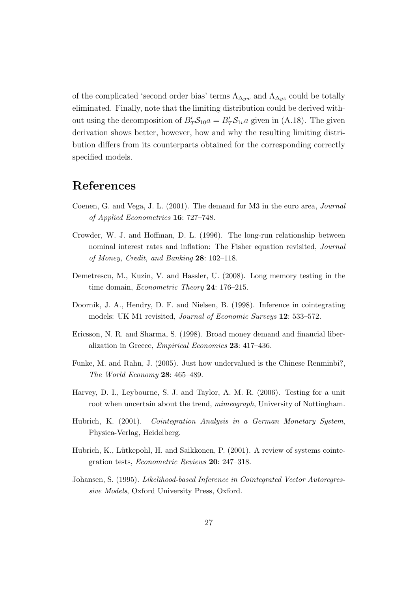of the complicated 'second order bias' terms  $\Lambda_{\Delta yw}$  and  $\Lambda_{\Delta yz}$  could be totally eliminated. Finally, note that the limiting distribution could be derived without using the decomposition of  $B'_T S_{10} a = B'_T S_{1v} a$  given in (A.18). The given derivation shows better, however, how and why the resulting limiting distribution differs from its counterparts obtained for the corresponding correctly specified models.

### References

- Coenen, G. and Vega, J. L. (2001). The demand for M3 in the euro area, Journal of Applied Econometrics 16: 727–748.
- Crowder, W. J. and Hoffman, D. L. (1996). The long-run relationship between nominal interest rates and inflation: The Fisher equation revisited, Journal of Money, Credit, and Banking 28: 102–118.
- Demetrescu, M., Kuzin, V. and Hassler, U. (2008). Long memory testing in the time domain, *Econometric Theory* 24: 176–215.
- Doornik, J. A., Hendry, D. F. and Nielsen, B. (1998). Inference in cointegrating models: UK M1 revisited, Journal of Economic Surveys 12: 533–572.
- Ericsson, N. R. and Sharma, S. (1998). Broad money demand and financial liberalization in Greece, Empirical Economics 23: 417–436.
- Funke, M. and Rahn, J. (2005). Just how undervalued is the Chinese Renminbi?, The World Economy 28: 465–489.
- Harvey, D. I., Leybourne, S. J. and Taylor, A. M. R. (2006). Testing for a unit root when uncertain about the trend, *mimeograph*, University of Nottingham.
- Hubrich, K. (2001). Cointegration Analysis in a German Monetary System, Physica-Verlag, Heidelberg.
- Hubrich, K., Lütkepohl, H. and Saikkonen, P. (2001). A review of systems cointegration tests, Econometric Reviews 20: 247–318.
- Johansen, S. (1995). Likelihood-based Inference in Cointegrated Vector Autoregressive Models, Oxford University Press, Oxford.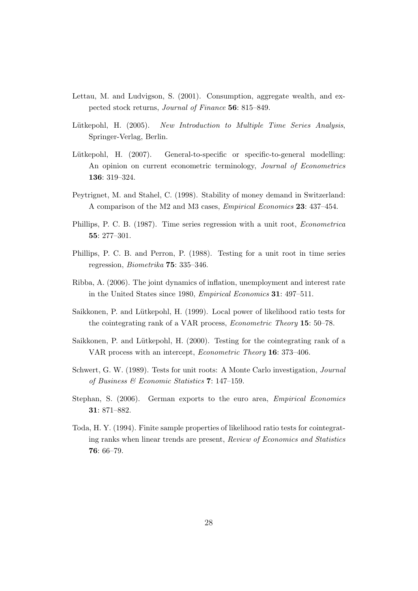- Lettau, M. and Ludvigson, S. (2001). Consumption, aggregate wealth, and expected stock returns, Journal of Finance 56: 815–849.
- Lütkepohl, H. (2005). New Introduction to Multiple Time Series Analysis, Springer-Verlag, Berlin.
- Lütkepohl, H. (2007). General-to-specific or specific-to-general modelling: An opinion on current econometric terminology, Journal of Econometrics 136: 319–324.
- Peytrignet, M. and Stahel, C. (1998). Stability of money demand in Switzerland: A comparison of the M2 and M3 cases, *Empirical Economics* 23: 437–454.
- Phillips, P. C. B. (1987). Time series regression with a unit root, Econometrica 55: 277–301.
- Phillips, P. C. B. and Perron, P. (1988). Testing for a unit root in time series regression, Biometrika 75: 335–346.
- Ribba, A. (2006). The joint dynamics of inflation, unemployment and interest rate in the United States since 1980, Empirical Economics 31: 497–511.
- Saikkonen, P. and Lütkepohl, H. (1999). Local power of likelihood ratio tests for the cointegrating rank of a VAR process, Econometric Theory 15: 50–78.
- Saikkonen, P. and Lütkepohl, H. (2000). Testing for the cointegrating rank of a VAR process with an intercept, Econometric Theory 16: 373–406.
- Schwert, G. W. (1989). Tests for unit roots: A Monte Carlo investigation, Journal of Business & Economic Statistics 7: 147–159.
- Stephan, S. (2006). German exports to the euro area, Empirical Economics 31: 871–882.
- Toda, H. Y. (1994). Finite sample properties of likelihood ratio tests for cointegrating ranks when linear trends are present, Review of Economics and Statistics 76: 66–79.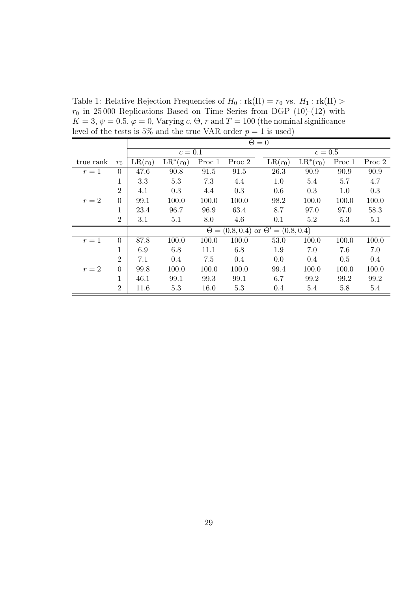Table 1: Relative Rejection Frequencies of  $H_0$ :  $rk(\Pi) = r_0$  vs.  $H_1 : rk(\Pi) >$  $r_0$  in 25000 Replications Based on Time Series from DGP (10)-(12) with  $K=3, \psi=0.5, \varphi=0,$  Varying  $c, \Theta, r$  and  $T=100$  (the nominal significance level of the tests is 5% and the true VAR order  $p = 1$  is used)

|           |                |           | $\Theta = 0$ |        |        |                                                 |             |        |        |  |  |
|-----------|----------------|-----------|--------------|--------|--------|-------------------------------------------------|-------------|--------|--------|--|--|
|           |                |           | $c=0.1$      |        |        |                                                 | $c=0.5$     |        |        |  |  |
| true rank | $r_0$          | $LR(r_0)$ | $LR^*(r_0)$  | Proc 1 | Proc 2 | $LR(r_0)$                                       | $LR^*(r_0)$ | Proc 1 | Proc 2 |  |  |
| $r=1$     | $\Omega$       | 47.6      | 90.8         | 91.5   | 91.5   | 26.3                                            | 90.9        | 90.9   | 90.9   |  |  |
|           | 1              | 3.3       | 5.3          | 7.3    | 4.4    | 1.0                                             | 5.4         | 5.7    | 4.7    |  |  |
|           | $\overline{2}$ | 4.1       | 0.3          | 4.4    | 0.3    | 0.6                                             | 0.3         | 1.0    | 0.3    |  |  |
| $r=2$     | $\theta$       | 99.1      | 100.0        | 100.0  | 100.0  | 98.2                                            | 100.0       | 100.0  | 100.0  |  |  |
|           | 1              | 23.4      | 96.7         | 96.9   | 63.4   | 8.7                                             | 97.0        | 97.0   | 58.3   |  |  |
|           | $\overline{2}$ | 3.1       | 5.1          | 8.0    | 4.6    | 0.1                                             | 5.2         | 5.3    | 5.1    |  |  |
|           |                |           |              |        |        | $\Theta = (0.8, 0.4)$ or $\Theta' = (0.8, 0.4)$ |             |        |        |  |  |
| $r=1$     | $\theta$       | 87.8      | 100.0        | 100.0  | 100.0  | 53.0                                            | 100.0       | 100.0  | 100.0  |  |  |
|           | 1              | 6.9       | 6.8          | 11.1   | 6.8    | 1.9                                             | 7.0         | 7.6    | 7.0    |  |  |
|           | $\overline{2}$ | 7.1       | 0.4          | 7.5    | 0.4    | 0.0                                             | 0.4         | 0.5    | 0.4    |  |  |
| $r=2$     | $\theta$       | 99.8      | 100.0        | 100.0  | 100.0  | 99.4                                            | 100.0       | 100.0  | 100.0  |  |  |
|           | 1              | 46.1      | 99.1         | 99.3   | 99.1   | 6.7                                             | 99.2        | 99.2   | 99.2   |  |  |
|           | $\overline{2}$ | 11.6      | 5.3          | 16.0   | 5.3    | 0.4                                             | 5.4         | 5.8    | 5.4    |  |  |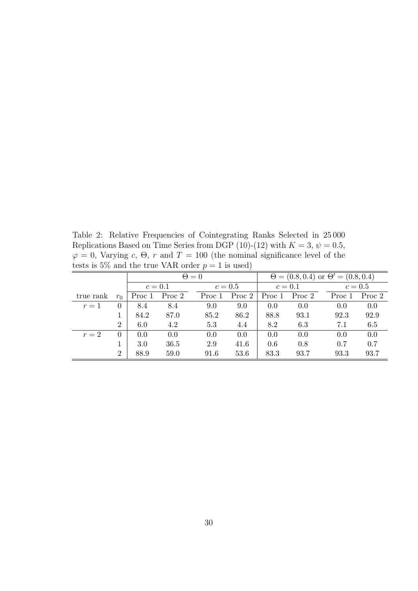Table 2: Relative Frequencies of Cointegrating Ranks Selected in 25 000 Replications Based on Time Series from DGP (10)-(12) with  $K = 3$ ,  $\psi = 0.5$ ,  $\varphi = 0$ , Varying c,  $\Theta$ , r and  $T = 100$  (the nominal significance level of the tests is 5% and the true VAR order  $p = 1$  is used)

|           |                |         |        | $\Theta = 0$ | $\Theta = (0.8, 0.4)$ or $\Theta' = (0.8, 0.4)$ |         |               |        |         |        |
|-----------|----------------|---------|--------|--------------|-------------------------------------------------|---------|---------------|--------|---------|--------|
|           |                | $c=0.1$ |        | $c=0.5$      |                                                 | $c=0.1$ |               |        | $c=0.5$ |        |
| true rank | $r_0$          | Proc 1  | Proc 2 | Proc 1       | Proc 2                                          |         | Proc 1 Proc 2 | Proc 1 |         | Proc 2 |
| $r=1$     | $\Omega$       | 8.4     | 8.4    | 9.0          | 9.0                                             | 0.0     | 0.0           | 0.0    |         | 0.0    |
|           |                | 84.2    | 87.0   | 85.2         | 86.2                                            | 88.8    | 93.1          | 92.3   |         | 92.9   |
|           | $\overline{2}$ | 6.0     | 4.2    | 5.3          | 4.4                                             | 8.2     | 6.3           | 7.1    |         | 6.5    |
| $r=2$     | $\Omega$       | 0.0     | 0.0    | 0.0          | 0.0                                             | 0.0     | 0.0           | 0.0    |         | 0.0    |
|           |                | 3.0     | 36.5   | 2.9          | 41.6                                            | 0.6     | 0.8           | 0.7    |         | 0.7    |
|           | $\overline{2}$ | 88.9    | 59.0   | 91.6         | 53.6                                            | 83.3    | 93.7          | 93.3   |         | 93.7   |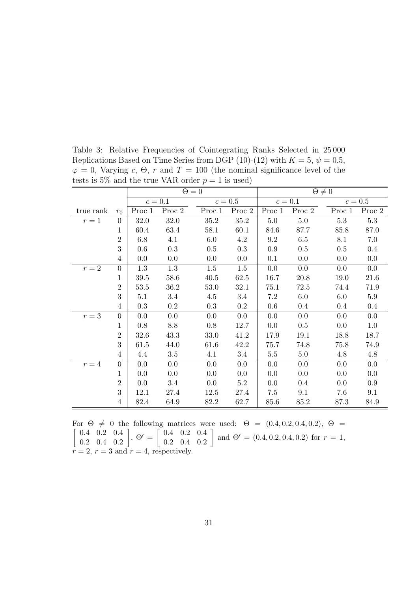|           |                |        |         | $\Theta = 0$ |         | $\Theta \neq 0$ |         |         |         |  |
|-----------|----------------|--------|---------|--------------|---------|-----------------|---------|---------|---------|--|
|           |                |        | $c=0.1$ |              | $c=0.5$ |                 | $c=0.1$ |         | $c=0.5$ |  |
| true rank | $r_0$          | Proc 1 | Proc 2  | Proc 1       | Proc 2  | Proc 1          | Proc 2  | Proc 1  | Proc 2  |  |
| $r=1$     | $\overline{0}$ | 32.0   | 32.0    | 35.2         | 35.2    | $5.0\,$         | $5.0\,$ | $5.3\,$ | 5.3     |  |
|           | 1              | 60.4   | 63.4    | 58.1         | 60.1    | 84.6            | 87.7    | 85.8    | 87.0    |  |
|           | $\overline{2}$ | 6.8    | 4.1     | 6.0          | $4.2\,$ | 9.2             | 6.5     | 8.1     | 7.0     |  |
|           | 3              | 0.6    | 0.3     | 0.5          | 0.3     | 0.9             | 0.5     | $0.5\,$ | $0.4\,$ |  |
|           | $\overline{4}$ | 0.0    | 0.0     | 0.0          | 0.0     | 0.1             | 0.0     | 0.0     | 0.0     |  |
| $r=2$     | $\overline{0}$ | 1.3    | 1.3     | 1.5          | 1.5     | 0.0             | 0.0     | 0.0     | 0.0     |  |
|           | 1              | 39.5   | 58.6    | 40.5         | 62.5    | 16.7            | 20.8    | 19.0    | 21.6    |  |
|           | $\overline{2}$ | 53.5   | 36.2    | 53.0         | 32.1    | 75.1            | 72.5    | 74.4    | 71.9    |  |
|           | 3              | 5.1    | 3.4     | 4.5          | 3.4     | $7.2\,$         | 6.0     | 6.0     | 5.9     |  |
|           | $\overline{4}$ | 0.3    | $0.2\,$ | 0.3          | $0.2\,$ | 0.6             | $0.4\,$ | 0.4     | $0.4\,$ |  |
| $r=3$     | $\overline{0}$ | 0.0    | 0.0     | 0.0          | $0.0\,$ | 0.0             | $0.0\,$ | 0.0     | 0.0     |  |
|           | 1              | 0.8    | 8.8     | $0.8\,$      | 12.7    | 0.0             | 0.5     | 0.0     | 1.0     |  |
|           | $\overline{2}$ | 32.6   | 43.3    | 33.0         | 41.2    | 17.9            | 19.1    | 18.8    | 18.7    |  |
|           | 3              | 61.5   | 44.0    | 61.6         | 42.2    | 75.7            | 74.8    | 75.8    | 74.9    |  |
|           | $\overline{4}$ | 4.4    | $3.5\,$ | 4.1          | 3.4     | $5.5\,$         | 5.0     | 4.8     | 4.8     |  |
| $r=4$     | $\overline{0}$ | 0.0    | 0.0     | 0.0          | 0.0     | 0.0             | 0.0     | 0.0     | 0.0     |  |
|           | 1              | 0.0    | 0.0     | 0.0          | 0.0     | 0.0             | 0.0     | 0.0     | 0.0     |  |
|           | $\overline{2}$ | 0.0    | 3.4     | 0.0          | $5.2\,$ | 0.0             | 0.4     | 0.0     | 0.9     |  |
|           | 3              | 12.1   | 27.4    | 12.5         | 27.4    | 7.5             | 9.1     | 7.6     | 9.1     |  |
|           | $\overline{4}$ | 82.4   | 64.9    | 82.2         | 62.7    | 85.6            | 85.2    | 87.3    | 84.9    |  |

Table 3: Relative Frequencies of Cointegrating Ranks Selected in 25 000 Replications Based on Time Series from DGP (10)-(12) with  $K = 5$ ,  $\psi = 0.5$ ,  $\varphi = 0$ , Varying c,  $\Theta$ , r and  $T = 100$  (the nominal significance level of the tests is 5% and the true VAR order  $p = 1$  is used)

For  $\Theta \neq 0$  the following matrices were used:  $\Theta = (0.4, 0.2, 0.4, 0.2), \Theta =$ 0.4 0.2 0.4  $\left.\begin{array}{cc} 0.4 & 0.2 & 0.4\ 0.2 & 0.4 & 0.2 \end{array}\right],\ \Theta'=\left[\begin{array}{cc} 0.4 & 0.2 & 0.4\ 0.2 & 0.4 & 0.2 \end{array}\right]$  $\begin{bmatrix} 0.4 & 0.2 & 0.4 \\ 0.2 & 0.4 & 0.2 \end{bmatrix}$  and  $\Theta' = (0.4, 0.2, 0.4, 0.2)$  for  $r = 1$ ,  $r = 2, r = 3$  and  $r = 4$ , respectively.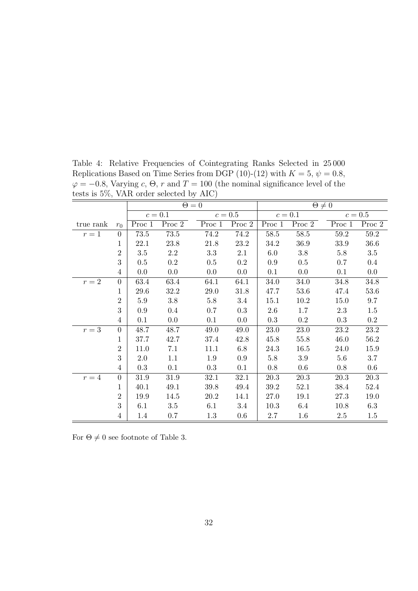| $\mu$ is $J/0$ , $\mu$ . The order selected by $\Lambda$ IC |                |         |           |              |           |                 |          |          |           |  |
|-------------------------------------------------------------|----------------|---------|-----------|--------------|-----------|-----------------|----------|----------|-----------|--|
|                                                             |                |         |           | $\Theta = 0$ |           | $\Theta \neq 0$ |          |          |           |  |
|                                                             |                |         | $c = 0.1$ |              | $c=0.5$   |                 | $c=0.1$  |          | $c = 0.5$ |  |
| true rank                                                   | $r_0$          | Proc 1  | Proc 2    | Proc 1       | Proc 2    | Proc 1          | Proc 2   | Proc 1   | Proc 2    |  |
| $r=1$                                                       | $\Omega$       | 73.5    | $73.5\,$  | 74.2         | 74.2      | $58.5\,$        | 58.5     | $59.2\,$ | 59.2      |  |
|                                                             | $\mathbf 1$    | 22.1    | 23.8      | 21.8         | $23.2\,$  | 34.2            | 36.9     | $33.9\,$ | $36.6\,$  |  |
|                                                             | $\overline{2}$ | $3.5\,$ | 2.2       | $3.3\,$      | 2.1       | 6.0             | 3.8      | $5.8\,$  | $3.5\,$   |  |
|                                                             | 3              | 0.5     | $0.2\,$   | $0.5\,$      | $0.2\,$   | 0.9             | 0.5      | 0.7      | $0.4\,$   |  |
|                                                             | $\overline{4}$ | 0.0     | 0.0       | 0.0          | 0.0       | 0.1             | 0.0      | 0.1      | $0.0\,$   |  |
| $r=2$                                                       | $\theta$       | 63.4    | 63.4      | 64.1         | 64.1      | 34.0            | 34.0     | 34.8     | 34.8      |  |
|                                                             | 1              | 29.6    | 32.2      | $29.0\,$     | 31.8      | 47.7            | 53.6     | 47.4     | 53.6      |  |
|                                                             | $\overline{2}$ | 5.9     | $3.8\,$   | $5.8\,$      | $3.4\,$   | 15.1            | 10.2     | 15.0     | $9.7\,$   |  |
|                                                             | 3              | 0.9     | $0.4\,$   | 0.7          | $\rm 0.3$ | 2.6             | 1.7      | 2.3      | 1.5       |  |
|                                                             | $\overline{4}$ | 0.1     | 0.0       | 0.1          | 0.0       | $0.3\,$         | $0.2\,$  | 0.3      | $0.2\,$   |  |
| $r=3$                                                       | $\overline{0}$ | 48.7    | 48.7      | 49.0         | 49.0      | $23.0\,$        | $23.0\,$ | $23.2\,$ | $23.2\,$  |  |
|                                                             | $\mathbf{1}$   | 37.7    | 42.7      | 37.4         | 42.8      | 45.8            | 55.8     | 46.0     | 56.2      |  |
|                                                             | $\overline{2}$ | 11.0    | 7.1       | 11.1         | $6.8\,$   | 24.3            | 16.5     | 24.0     | 15.9      |  |
|                                                             | 3              | 2.0     | 1.1       | 1.9          | $0.9\,$   | $5.8\,$         | 3.9      | 5.6      | 3.7       |  |
|                                                             | $\overline{4}$ | 0.3     | 0.1       | 0.3          | 0.1       | 0.8             | 0.6      | 0.8      | $0.6\,$   |  |
| $r=4$                                                       | $\overline{0}$ | 31.9    | 31.9      | 32.1         | 32.1      | 20.3            | 20.3     | 20.3     | 20.3      |  |
|                                                             | 1              | 40.1    | 49.1      | 39.8         | 49.4      | 39.2            | 52.1     | 38.4     | 52.4      |  |
|                                                             | $\overline{2}$ | 19.9    | 14.5      | 20.2         | 14.1      | 27.0            | 19.1     | 27.3     | 19.0      |  |
|                                                             | 3              | 6.1     | $3.5\,$   | 6.1          | 3.4       | 10.3            | 6.4      | 10.8     | 6.3       |  |
|                                                             | $\overline{4}$ | 1.4     | $0.7\,$   | $1.3\,$      | 0.6       | $2.7\,$         | 1.6      | $2.5\,$  | 1.5       |  |

Table 4: Relative Frequencies of Cointegrating Ranks Selected in 25 000 Replications Based on Time Series from DGP (10)-(12) with  $K = 5$ ,  $\psi = 0.8$ ,  $\varphi = -0.8$ , Varying c,  $\Theta$ , r and  $T = 100$  (the nominal significance level of the tests is 5%, VAR order selected by AIC)

For  $\Theta \neq 0$  see footnote of Table 3.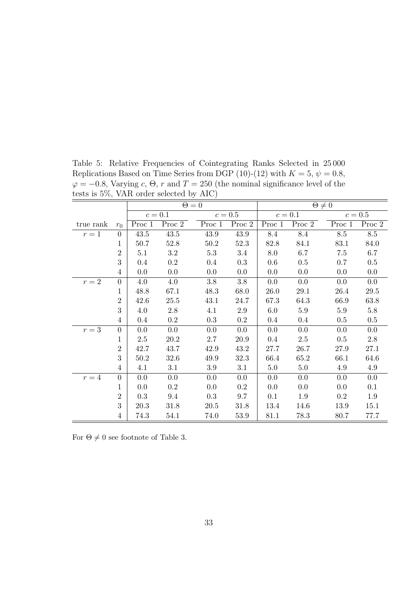| $\frac{1}{2}$ |                |          |           |              |           |                 |          |          |           |  |
|---------------|----------------|----------|-----------|--------------|-----------|-----------------|----------|----------|-----------|--|
|               |                |          |           | $\Theta = 0$ |           | $\Theta \neq 0$ |          |          |           |  |
|               |                |          | $c = 0.1$ |              | $c=0.5$   |                 | $c=0.1$  |          | $c = 0.5$ |  |
| true rank     | $r_0$          | Proc 1   | Proc 2    | Proc 1       | Proc 2    | Proc 1          | Proc 2   | Proc 1   | Proc 2    |  |
| $r=1$         | $\overline{0}$ | $43.5\,$ | 43.5      | 43.9         | $43.9\,$  | 8.4             | 8.4      | $8.5\,$  | $8.5\,$   |  |
|               | 1              | 50.7     | 52.8      | $50.2\,$     | 52.3      | 82.8            | 84.1     | 83.1     | 84.0      |  |
|               | $\overline{2}$ | 5.1      | 3.2       | 5.3          | 3.4       | 8.0             | 6.7      | 7.5      | 6.7       |  |
|               | 3              | $0.4\,$  | $0.2\,$   | $0.4\,$      | 0.3       | 0.6             | 0.5      | 0.7      | $0.5\,$   |  |
|               | $\overline{4}$ | 0.0      | $0.0\,$   | 0.0          | 0.0       | 0.0             | 0.0      | 0.0      | 0.0       |  |
| $r=2$         | $\overline{0}$ | 4.0      | 4.0       | $3.8\,$      | $3.8\,$   | 0.0             | 0.0      | 0.0      | 0.0       |  |
|               | 1              | 48.8     | 67.1      | 48.3         | 68.0      | 26.0            | $29.1\,$ | $26.4\,$ | $29.5\,$  |  |
|               | $\overline{2}$ | 42.6     | 25.5      | 43.1         | 24.7      | 67.3            | 64.3     | 66.9     | 63.8      |  |
|               | 3              | 4.0      | $2.8\,$   | 4.1          | $2.9\,$   | 6.0             | $5.9\,$  | $5.9\,$  | 5.8       |  |
|               | $\overline{4}$ | $0.4\,$  | $0.2\,$   | 0.3          | $0.2\,$   | $0.4\,$         | $0.4\,$  | $0.5\,$  | $0.5\,$   |  |
| $r=3$         | $\overline{0}$ | 0.0      | 0.0       | 0.0          | 0.0       | 0.0             | 0.0      | 0.0      | 0.0       |  |
|               | $\mathbf{1}$   | $2.5\,$  | $20.2\,$  | $2.7\,$      | $20.9\,$  | 0.4             | $2.5\,$  | $0.5\,$  | $2.8\,$   |  |
|               | $\overline{2}$ | 42.7     | 43.7      | 42.9         | 43.2      | 27.7            | 26.7     | 27.9     | 27.1      |  |
|               | 3              | 50.2     | 32.6      | 49.9         | 32.3      | 66.4            | 65.2     | 66.1     | 64.6      |  |
|               | $\overline{4}$ | 4.1      | 3.1       | 3.9          | 3.1       | $5.0\,$         | $5.0\,$  | 4.9      | 4.9       |  |
| $r=4$         | $\overline{0}$ | 0.0      | 0.0       | 0.0          | 0.0       | 0.0             | 0.0      | 0.0      | 0.0       |  |
|               | $\mathbf 1$    | 0.0      | $\rm 0.2$ | 0.0          | $\rm 0.2$ | 0.0             | 0.0      | 0.0      | 0.1       |  |
|               | $\overline{2}$ | 0.3      | 9.4       | 0.3          | 9.7       | 0.1             | 1.9      | $0.2\,$  | 1.9       |  |
|               | 3              | 20.3     | 31.8      | $20.5\,$     | $31.8\,$  | 13.4            | 14.6     | 13.9     | 15.1      |  |
|               | $\overline{4}$ | 74.3     | 54.1      | 74.0         | 53.9      | 81.1            | 78.3     | 80.7     | 77.7      |  |

Table 5: Relative Frequencies of Cointegrating Ranks Selected in 25 000 Replications Based on Time Series from DGP (10)-(12) with  $K = 5$ ,  $\psi = 0.8$ ,  $\varphi = -0.8$ , Varying c,  $\Theta$ , r and  $T = 250$  (the nominal significance level of the tests is 5%, VAR order selected by AIC)

For  $\Theta \neq 0$  see footnote of Table 3.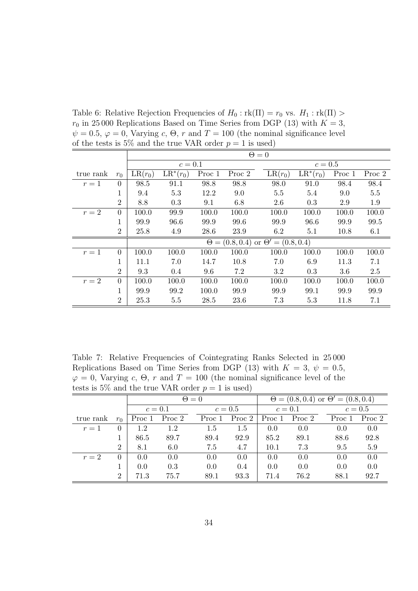Table 6: Relative Rejection Frequencies of  $H_0 : \text{rk}(\Pi) = r_0$  vs.  $H_1 : \text{rk}(\Pi) >$  $r_0$  in 25 000 Replications Based on Time Series from DGP (13) with  $K = 3$ ,  $\psi = 0.5, \varphi = 0$ , Varying c,  $\Theta$ , r and  $T = 100$  (the nominal significance level of the tests is 5% and the true VAR order  $p = 1$  is used)

|           |                |           | $\Theta = 0$           |        |        |                                                 |                               |        |        |  |  |
|-----------|----------------|-----------|------------------------|--------|--------|-------------------------------------------------|-------------------------------|--------|--------|--|--|
|           |                |           | $c=0.1$                |        |        |                                                 | $c=0.5$                       |        |        |  |  |
| true rank | $r_0$          | $LR(r_0)$ | $\overline{LR}^*(r_0)$ | Proc 1 | Proc 2 | $LR(r_0)$                                       | $\overline{\text{LR}}^*(r_0)$ | Proc 1 | Proc 2 |  |  |
| $r=1$     | $\Omega$       | 98.5      | 91.1                   | 98.8   | 98.8   | 98.0                                            | 91.0                          | 98.4   | 98.4   |  |  |
|           | 1              | 9.4       | 5.3                    | 12.2   | 9.0    | 5.5                                             | 5.4                           | 9.0    | 5.5    |  |  |
|           | $\overline{2}$ | 8.8       | 0.3                    | 9.1    | 6.8    | 2.6                                             | 0.3                           | 2.9    | 1.9    |  |  |
| $r=2$     | $\theta$       | 100.0     | 99.9                   | 100.0  | 100.0  | 100.0                                           | 100.0                         | 100.0  | 100.0  |  |  |
|           |                | 99.9      | 96.6                   | 99.9   | 99.6   | 99.9                                            | 96.6                          | 99.9   | 99.5   |  |  |
|           | $\overline{2}$ | 25.8      | 4.9                    | 28.6   | 23.9   | 6.2                                             | 5.1                           | 10.8   | 6.1    |  |  |
|           |                |           |                        |        |        | $\Theta = (0.8, 0.4)$ or $\Theta' = (0.8, 0.4)$ |                               |        |        |  |  |
| $r=1$     | $\theta$       | 100.0     | 100.0                  | 100.0  | 100.0  | 100.0                                           | 100.0                         | 100.0  | 100.0  |  |  |
|           | 1.             | 11.1      | 7.0                    | 14.7   | 10.8   | 7.0                                             | 6.9                           | 11.3   | 7.1    |  |  |
|           | $\overline{2}$ | 9.3       | 0.4                    | 9.6    | 7.2    | 3.2                                             | 0.3                           | 3.6    | 2.5    |  |  |
| $r=2$     | $\Omega$       | 100.0     | 100.0                  | 100.0  | 100.0  | 100.0                                           | 100.0                         | 100.0  | 100.0  |  |  |
|           |                | 99.9      | 99.2                   | 100.0  | 99.9   | 99.9                                            | 99.1                          | 99.9   | 99.9   |  |  |
|           | $\overline{2}$ | 25.3      | 5.5                    | 28.5   | 23.6   | 7.3                                             | 5.3                           | 11.8   | 7.1    |  |  |

Table 7: Relative Frequencies of Cointegrating Ranks Selected in 25 000 Replications Based on Time Series from DGP (13) with  $K = 3, \psi = 0.5$ ,  $\varphi = 0$ , Varying c,  $\Theta$ , r and  $T = 100$  (the nominal significance level of the tests is 5% and the true VAR order  $p = 1$  is used)

|           |                |         |        | $\Theta = 0$ |          | $\Theta = (0.8, 0.4)$ or $\Theta' = (0.8, 0.4)$ |               |        |         |        |
|-----------|----------------|---------|--------|--------------|----------|-------------------------------------------------|---------------|--------|---------|--------|
|           |                | $c=0.1$ |        | $c=0.5$      |          | $c=0.1$                                         |               |        | $c=0.5$ |        |
| true rank | $r_0$          | Proc 1  | Proc 2 | Proc 1       | Proc $2$ |                                                 | Proc 1 Proc 2 | Proc 1 |         | Proc 2 |
| $r=1$     | $\Omega$       | 1.2     | 1.2    | 1.5          | 1.5      | 0.0                                             | 0.0           | 0.0    |         | 0.0    |
|           |                | 86.5    | 89.7   | 89.4         | 92.9     | 85.2                                            | 89.1          | 88.6   |         | 92.8   |
|           | $\overline{2}$ | 8.1     | 6.0    | 7.5          | 4.7      | 10.1                                            | 7.3           | 9.5    |         | 5.9    |
| $r=2$     | 0              | 0.0     | 0.0    | 0.0          | 0.0      | 0.0                                             | 0.0           | 0.0    |         | 0.0    |
|           |                | 0.0     | 0.3    | 0.0          | 0.4      | 0.0                                             | 0.0           | 0.0    |         | 0.0    |
|           | $\overline{2}$ | 71.3    | 75.7   | 89.1         | 93.3     | 71.4                                            | 76.2          | 88.1   |         | 92.7   |